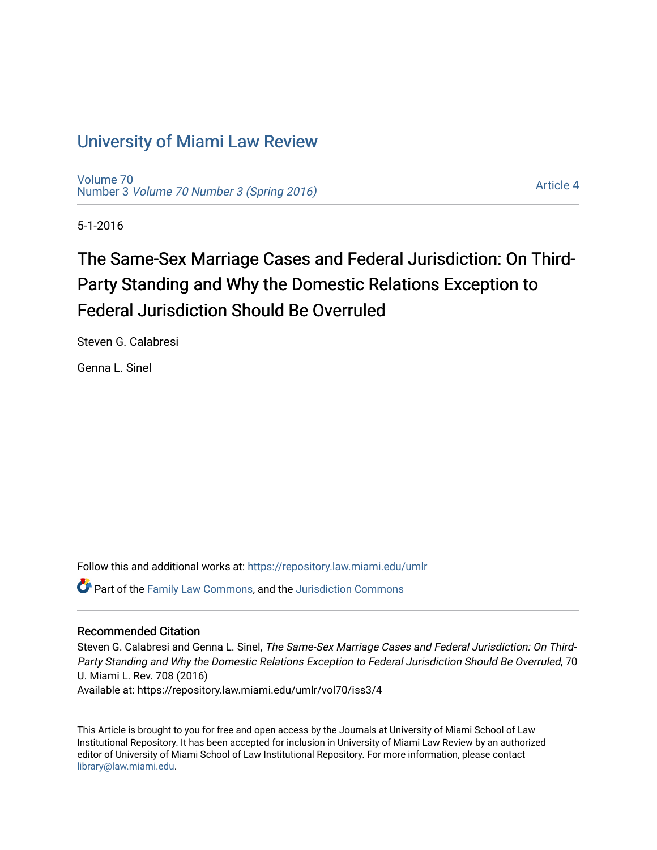## [University of Miami Law Review](https://repository.law.miami.edu/umlr)

[Volume 70](https://repository.law.miami.edu/umlr/vol70) Number 3 [Volume 70 Number 3 \(Spring 2016\)](https://repository.law.miami.edu/umlr/vol70/iss3)

[Article 4](https://repository.law.miami.edu/umlr/vol70/iss3/4) 

5-1-2016

# The Same-Sex Marriage Cases and Federal Jurisdiction: On Third-Party Standing and Why the Domestic Relations Exception to Federal Jurisdiction Should Be Overruled

Steven G. Calabresi

Genna L. Sinel

Follow this and additional works at: [https://repository.law.miami.edu/umlr](https://repository.law.miami.edu/umlr?utm_source=repository.law.miami.edu%2Fumlr%2Fvol70%2Fiss3%2F4&utm_medium=PDF&utm_campaign=PDFCoverPages)

Part of the [Family Law Commons,](http://network.bepress.com/hgg/discipline/602?utm_source=repository.law.miami.edu%2Fumlr%2Fvol70%2Fiss3%2F4&utm_medium=PDF&utm_campaign=PDFCoverPages) and the [Jurisdiction Commons](http://network.bepress.com/hgg/discipline/850?utm_source=repository.law.miami.edu%2Fumlr%2Fvol70%2Fiss3%2F4&utm_medium=PDF&utm_campaign=PDFCoverPages) 

#### Recommended Citation

Steven G. Calabresi and Genna L. Sinel, The Same-Sex Marriage Cases and Federal Jurisdiction: On Third-Party Standing and Why the Domestic Relations Exception to Federal Jurisdiction Should Be Overruled, 70 U. Miami L. Rev. 708 (2016) Available at: https://repository.law.miami.edu/umlr/vol70/iss3/4

This Article is brought to you for free and open access by the Journals at University of Miami School of Law Institutional Repository. It has been accepted for inclusion in University of Miami Law Review by an authorized editor of University of Miami School of Law Institutional Repository. For more information, please contact [library@law.miami.edu.](mailto:library@law.miami.edu)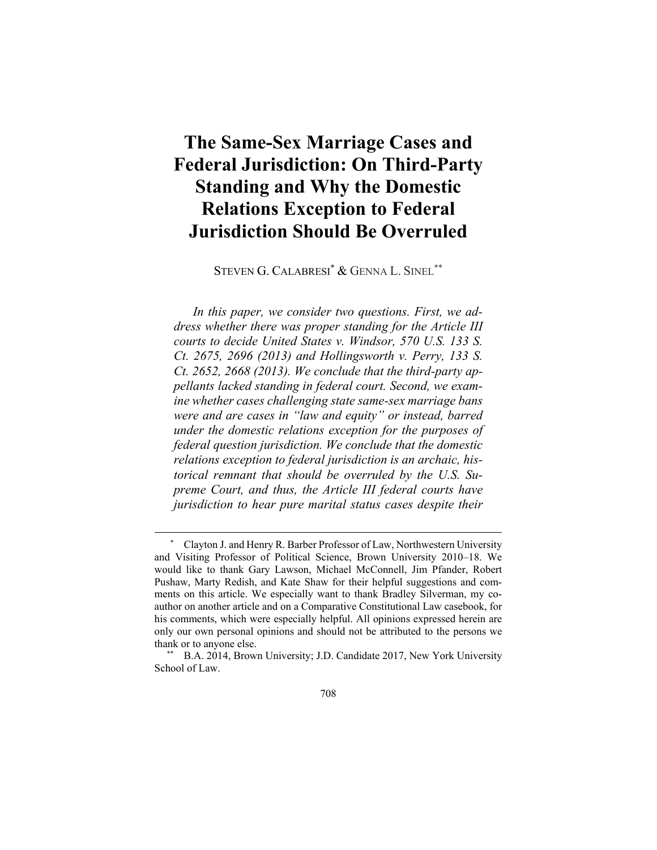## **The Same-Sex Marriage Cases and Federal Jurisdiction: On Third-Party Standing and Why the Domestic Relations Exception to Federal Jurisdiction Should Be Overruled**

STEVEN G. CALABRESI<sup>\*</sup> & GENNA L. SINEL<sup>\*\*</sup>

*In this paper, we consider two questions. First, we address whether there was proper standing for the Article III courts to decide United States v. Windsor, 570 U.S. 133 S. Ct. 2675, 2696 (2013) and Hollingsworth v. Perry, 133 S. Ct. 2652, 2668 (2013). We conclude that the third-party appellants lacked standing in federal court. Second, we examine whether cases challenging state same-sex marriage bans were and are cases in "law and equity" or instead, barred under the domestic relations exception for the purposes of federal question jurisdiction. We conclude that the domestic relations exception to federal jurisdiction is an archaic, historical remnant that should be overruled by the U.S. Supreme Court, and thus, the Article III federal courts have jurisdiction to hear pure marital status cases despite their* 

 <sup>\*</sup> Clayton J. and Henry R. Barber Professor of Law, Northwestern University and Visiting Professor of Political Science, Brown University 2010–18. We would like to thank Gary Lawson, Michael McConnell, Jim Pfander, Robert Pushaw, Marty Redish, and Kate Shaw for their helpful suggestions and comments on this article. We especially want to thank Bradley Silverman, my coauthor on another article and on a Comparative Constitutional Law casebook, for his comments, which were especially helpful. All opinions expressed herein are only our own personal opinions and should not be attributed to the persons we thank or to anyone else.

 <sup>\*\*</sup> B.A. 2014, Brown University; J.D. Candidate 2017, New York University School of Law.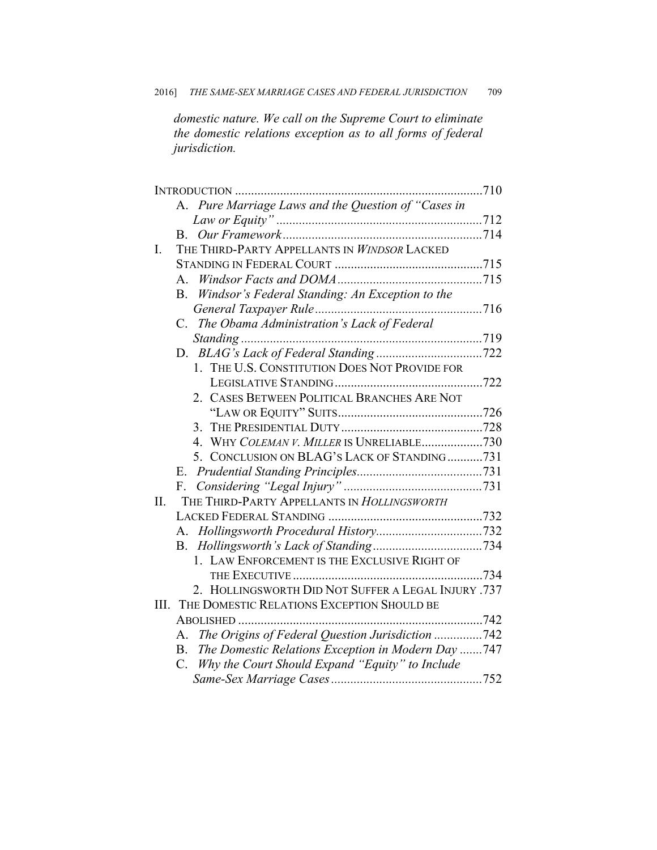*domestic nature. We call on the Supreme Court to eliminate the domestic relations exception as to all forms of federal jurisdiction.* 

|             | INTRODUCTION                                                         | $\dots 710$ |
|-------------|----------------------------------------------------------------------|-------------|
|             | A. Pure Marriage Laws and the Question of "Cases in                  |             |
|             |                                                                      |             |
|             |                                                                      |             |
| $I_{\cdot}$ | THE THIRD-PARTY APPELLANTS IN WINDSOR LACKED                         |             |
|             |                                                                      |             |
|             |                                                                      |             |
|             | B. Windsor's Federal Standing: An Exception to the                   |             |
|             |                                                                      |             |
|             | C. The Obama Administration's Lack of Federal                        |             |
|             | Standing                                                             |             |
|             | D.                                                                   |             |
|             | 1. THE U.S. CONSTITUTION DOES NOT PROVIDE FOR                        |             |
|             |                                                                      |             |
|             | 2. CASES BETWEEN POLITICAL BRANCHES ARE NOT                          |             |
|             |                                                                      |             |
|             | 3.                                                                   |             |
|             | 4. WHY COLEMAN V. MILLER IS UNRELIABLE730                            |             |
|             | 5. CONCLUSION ON BLAG'S LACK OF STANDING731                          |             |
|             |                                                                      |             |
|             | F.                                                                   |             |
| II.         | THE THIRD-PARTY APPELLANTS IN HOLLINGSWORTH                          |             |
|             |                                                                      |             |
|             |                                                                      |             |
|             |                                                                      |             |
|             | 1. LAW ENFORCEMENT IS THE EXCLUSIVE RIGHT OF                         |             |
|             |                                                                      |             |
|             | 2. HOLLINGSWORTH DID NOT SUFFER A LEGAL INJURY .737                  |             |
| III.        | THE DOMESTIC RELATIONS EXCEPTION SHOULD BE                           |             |
|             | ABOLISHED                                                            |             |
|             | The Origins of Federal Question Jurisdiction 742<br>A.               |             |
|             | The Domestic Relations Exception in Modern Day 747<br>$\mathbf{B}$ . |             |
|             | Why the Court Should Expand "Equity" to Include<br>$C_{\cdot}$       |             |
|             |                                                                      |             |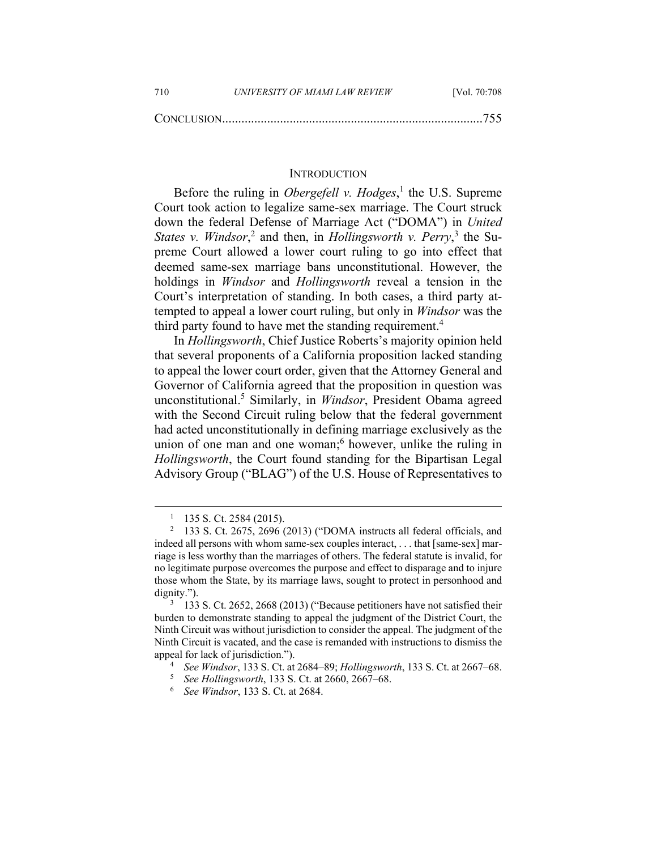| 710 | UNIVERSITY OF MIAMI LAW REVIEW | [Vol. 70:708] |
|-----|--------------------------------|---------------|
|     |                                |               |

#### **INTRODUCTION**

Before the ruling in *Obergefell v. Hodges*,<sup>1</sup> the U.S. Supreme Court took action to legalize same-sex marriage. The Court struck down the federal Defense of Marriage Act ("DOMA") in *United*  States v. *Windsor*<sup>2</sup> and then, in *Hollingsworth v. Perry*<sup>3</sup>, the Supreme Court allowed a lower court ruling to go into effect that deemed same-sex marriage bans unconstitutional. However, the holdings in *Windsor* and *Hollingsworth* reveal a tension in the Court's interpretation of standing. In both cases, a third party attempted to appeal a lower court ruling, but only in *Windsor* was the third party found to have met the standing requirement.<sup>4</sup>

In *Hollingsworth*, Chief Justice Roberts's majority opinion held that several proponents of a California proposition lacked standing to appeal the lower court order, given that the Attorney General and Governor of California agreed that the proposition in question was unconstitutional.5 Similarly, in *Windsor*, President Obama agreed with the Second Circuit ruling below that the federal government had acted unconstitutionally in defining marriage exclusively as the union of one man and one woman;<sup>6</sup> however, unlike the ruling in *Hollingsworth*, the Court found standing for the Bipartisan Legal Advisory Group ("BLAG") of the U.S. House of Representatives to

 $\frac{1}{1}$  $1$  135 S. Ct. 2584 (2015).

<sup>&</sup>lt;sup>2</sup> 133 S. Ct. 2675, 2696 (2013) ("DOMA instructs all federal officials, and indeed all persons with whom same-sex couples interact, . . . that [same-sex] marriage is less worthy than the marriages of others. The federal statute is invalid, for no legitimate purpose overcomes the purpose and effect to disparage and to injure those whom the State, by its marriage laws, sought to protect in personhood and dignity.").

<sup>&</sup>lt;sup>3</sup> 133 S. Ct. 2652, 2668 (2013) ("Because petitioners have not satisfied their burden to demonstrate standing to appeal the judgment of the District Court, the Ninth Circuit was without jurisdiction to consider the appeal. The judgment of the Ninth Circuit is vacated, and the case is remanded with instructions to dismiss the appeal for lack of jurisdiction."). 4

*See Windsor*, 133 S. Ct. at 2684–89; *Hollingsworth*, 133 S. Ct. at 2667–68. 5

*See Hollingsworth*, 133 S. Ct. at 2660, 2667–68. 6

*See Windsor*, 133 S. Ct. at 2684.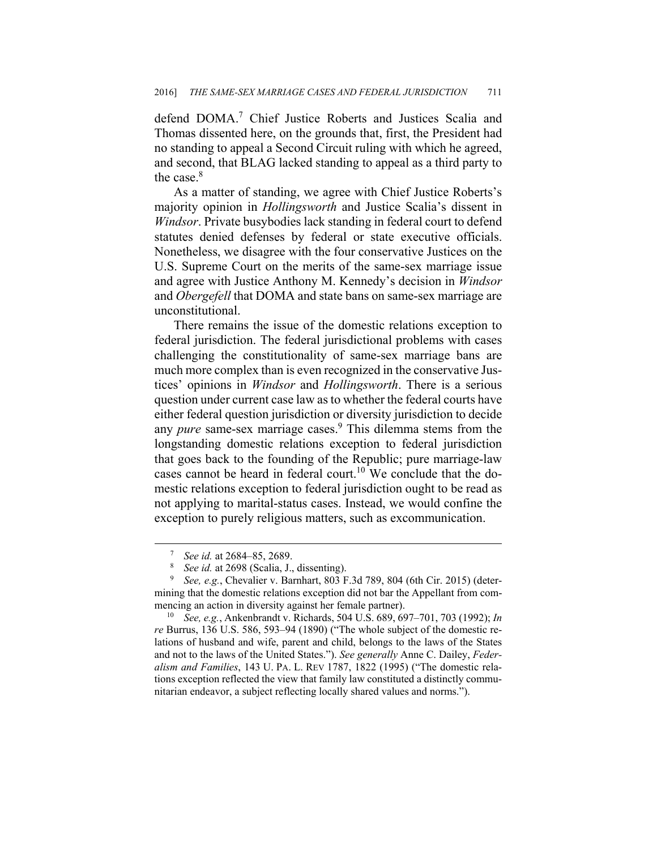defend DOMA.<sup>7</sup> Chief Justice Roberts and Justices Scalia and Thomas dissented here, on the grounds that, first, the President had no standing to appeal a Second Circuit ruling with which he agreed, and second, that BLAG lacked standing to appeal as a third party to the case.<sup>8</sup>

As a matter of standing, we agree with Chief Justice Roberts's majority opinion in *Hollingsworth* and Justice Scalia's dissent in *Windsor*. Private busybodies lack standing in federal court to defend statutes denied defenses by federal or state executive officials. Nonetheless, we disagree with the four conservative Justices on the U.S. Supreme Court on the merits of the same-sex marriage issue and agree with Justice Anthony M. Kennedy's decision in *Windsor*  and *Obergefell* that DOMA and state bans on same-sex marriage are unconstitutional.

There remains the issue of the domestic relations exception to federal jurisdiction. The federal jurisdictional problems with cases challenging the constitutionality of same-sex marriage bans are much more complex than is even recognized in the conservative Justices' opinions in *Windsor* and *Hollingsworth*. There is a serious question under current case law as to whether the federal courts have either federal question jurisdiction or diversity jurisdiction to decide any *pure* same-sex marriage cases.<sup>9</sup> This dilemma stems from the longstanding domestic relations exception to federal jurisdiction that goes back to the founding of the Republic; pure marriage-law cases cannot be heard in federal court.<sup>10</sup> We conclude that the domestic relations exception to federal jurisdiction ought to be read as not applying to marital-status cases. Instead, we would confine the exception to purely religious matters, such as excommunication.

 $\frac{1}{7}$ <sup>7</sup> See id. at 2684–85, 2689.

<sup>&</sup>lt;sup>8</sup> *See id.* at 2698 (Scalia, J., dissenting).<br><sup>9</sup> *See e o* Chevalier v Barnhart. 803 F

*See, e.g.*, Chevalier v. Barnhart, 803 F.3d 789, 804 (6th Cir. 2015) (determining that the domestic relations exception did not bar the Appellant from commencing an action in diversity against her female partner).<br><sup>10</sup> *See, e.g.*, Ankenbrandt v. Richards, 504 U.S. 689, 697–701, 703 (1992); *In* 

*re* Burrus, 136 U.S. 586, 593–94 (1890) ("The whole subject of the domestic relations of husband and wife, parent and child, belongs to the laws of the States and not to the laws of the United States."). *See generally* Anne C. Dailey, *Federalism and Families*, 143 U. PA. L. REV 1787, 1822 (1995) ("The domestic relations exception reflected the view that family law constituted a distinctly communitarian endeavor, a subject reflecting locally shared values and norms.").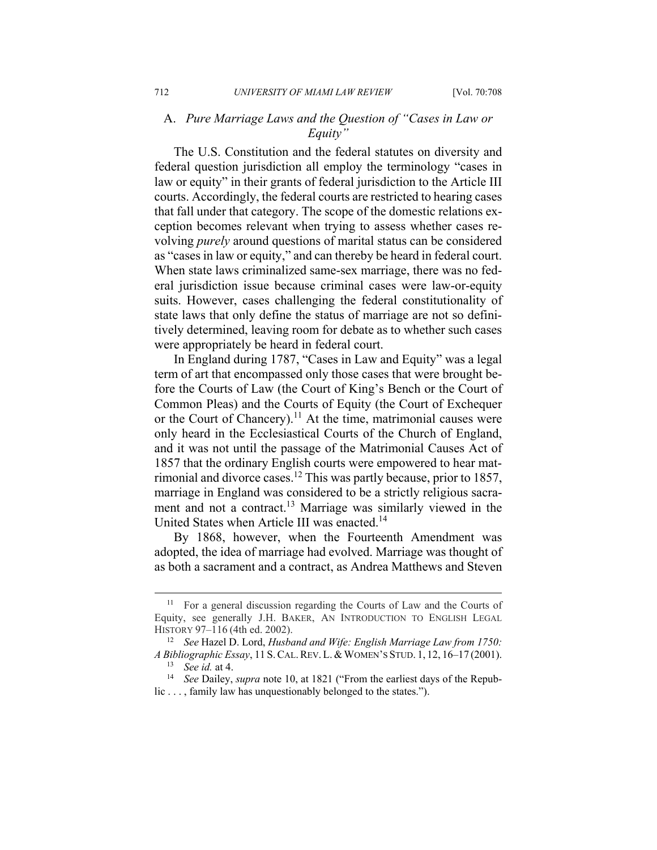## A. *Pure Marriage Laws and the Question of "Cases in Law or Equity"*

The U.S. Constitution and the federal statutes on diversity and federal question jurisdiction all employ the terminology "cases in law or equity" in their grants of federal jurisdiction to the Article III courts. Accordingly, the federal courts are restricted to hearing cases that fall under that category. The scope of the domestic relations exception becomes relevant when trying to assess whether cases revolving *purely* around questions of marital status can be considered as "cases in law or equity," and can thereby be heard in federal court. When state laws criminalized same-sex marriage, there was no federal jurisdiction issue because criminal cases were law-or-equity suits. However, cases challenging the federal constitutionality of state laws that only define the status of marriage are not so definitively determined, leaving room for debate as to whether such cases were appropriately be heard in federal court.

In England during 1787, "Cases in Law and Equity" was a legal term of art that encompassed only those cases that were brought before the Courts of Law (the Court of King's Bench or the Court of Common Pleas) and the Courts of Equity (the Court of Exchequer or the Court of Chancery).<sup>11</sup> At the time, matrimonial causes were only heard in the Ecclesiastical Courts of the Church of England, and it was not until the passage of the Matrimonial Causes Act of 1857 that the ordinary English courts were empowered to hear matrimonial and divorce cases.12 This was partly because, prior to 1857, marriage in England was considered to be a strictly religious sacrament and not a contract.<sup>13</sup> Marriage was similarly viewed in the United States when Article III was enacted.<sup>14</sup>

By 1868, however, when the Fourteenth Amendment was adopted, the idea of marriage had evolved. Marriage was thought of as both a sacrament and a contract, as Andrea Matthews and Steven

<sup>&</sup>lt;sup>11</sup> For a general discussion regarding the Courts of Law and the Courts of Equity, see generally J.H. BAKER, AN INTRODUCTION TO ENGLISH LEGAL HISTORY 97–116 (4th ed. 2002).

<sup>12</sup> *See* Hazel D. Lord, *Husband and Wife: English Marriage Law from 1750: A Bibliographic Essay*, 11 S. CAL. REV. L. & WOMEN'S STUD. 1, 12, 16–17 (2001).<br><sup>13</sup> *See id.* at 4. *See Dailey, <i>supra* note 10, at 1821 ("From the earliest days of the Repub-

lic . . . , family law has unquestionably belonged to the states.").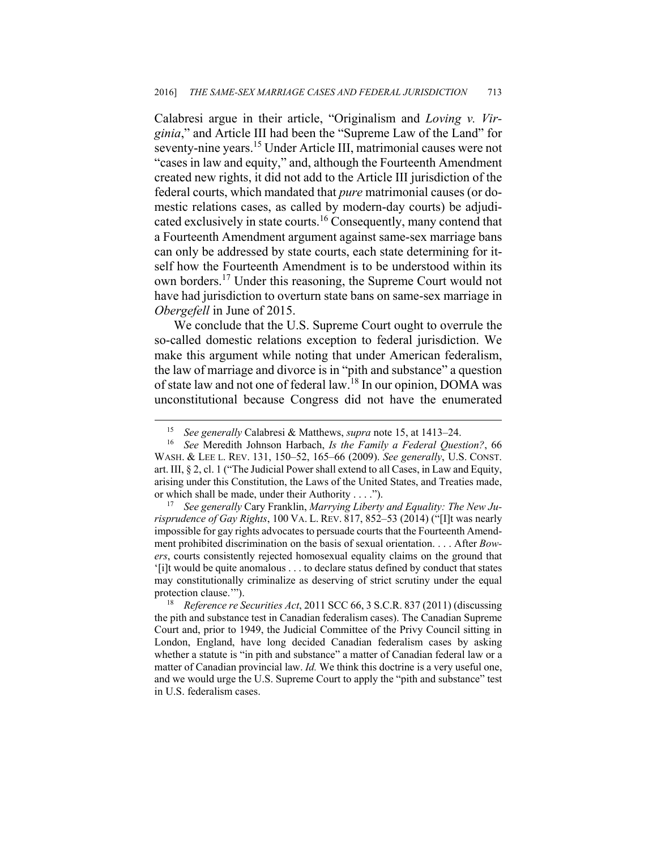Calabresi argue in their article, "Originalism and *Loving v. Virginia*," and Article III had been the "Supreme Law of the Land" for seventy-nine years.<sup>15</sup> Under Article III, matrimonial causes were not "cases in law and equity," and, although the Fourteenth Amendment created new rights, it did not add to the Article III jurisdiction of the federal courts, which mandated that *pure* matrimonial causes (or domestic relations cases, as called by modern-day courts) be adjudicated exclusively in state courts.<sup>16</sup> Consequently, many contend that a Fourteenth Amendment argument against same-sex marriage bans can only be addressed by state courts, each state determining for itself how the Fourteenth Amendment is to be understood within its own borders.17 Under this reasoning, the Supreme Court would not have had jurisdiction to overturn state bans on same-sex marriage in *Obergefell* in June of 2015.

We conclude that the U.S. Supreme Court ought to overrule the so-called domestic relations exception to federal jurisdiction. We make this argument while noting that under American federalism, the law of marriage and divorce is in "pith and substance" a question of state law and not one of federal law.18 In our opinion, DOMA was unconstitutional because Congress did not have the enumerated

<sup>15</sup> *See generally* Calabresi & Matthews, *supra* note 15, at 1413–24. 16 *See* Meredith Johnson Harbach, *Is the Family a Federal Question?*, 66 WASH. & LEE L. REV. 131, 150–52, 165–66 (2009). *See generally*, U.S. CONST. art. III, § 2, cl. 1 ("The Judicial Power shall extend to all Cases, in Law and Equity, arising under this Constitution, the Laws of the United States, and Treaties made, or which shall be made, under their Authority . . . ."). 17 *See generally* Cary Franklin, *Marrying Liberty and Equality: The New Ju-*

*risprudence of Gay Rights*, 100 VA. L. REV. 817, 852–53 (2014) ("[I]t was nearly impossible for gay rights advocates to persuade courts that the Fourteenth Amendment prohibited discrimination on the basis of sexual orientation. . . . After *Bowers*, courts consistently rejected homosexual equality claims on the ground that '[i]t would be quite anomalous . . . to declare status defined by conduct that states may constitutionally criminalize as deserving of strict scrutiny under the equal protection clause."").<br><sup>18</sup> *Reference re Securities Act*, 2011 SCC 66, 3 S.C.R. 837 (2011) (discussing

the pith and substance test in Canadian federalism cases). The Canadian Supreme Court and, prior to 1949, the Judicial Committee of the Privy Council sitting in London, England, have long decided Canadian federalism cases by asking whether a statute is "in pith and substance" a matter of Canadian federal law or a matter of Canadian provincial law. *Id.* We think this doctrine is a very useful one, and we would urge the U.S. Supreme Court to apply the "pith and substance" test in U.S. federalism cases.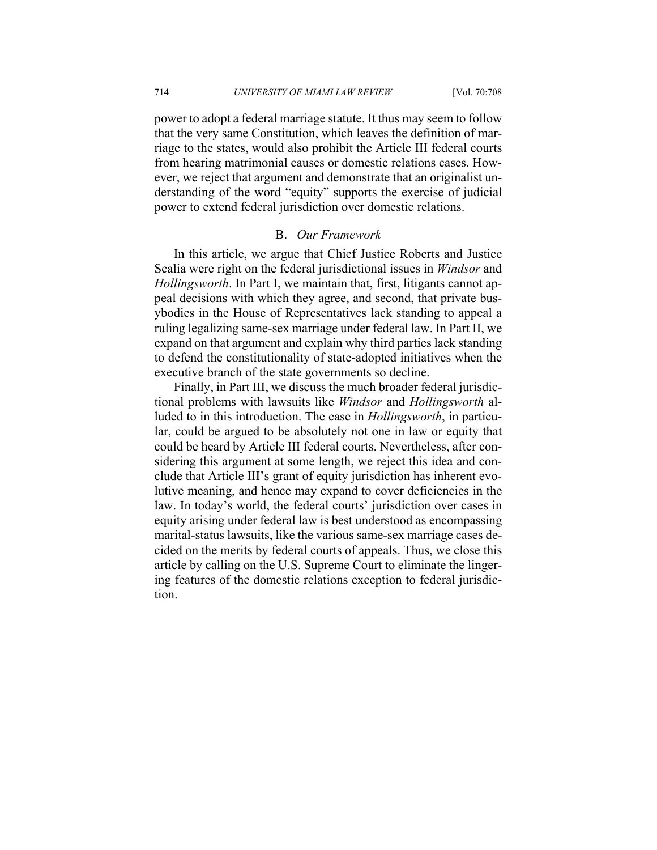power to adopt a federal marriage statute. It thus may seem to follow that the very same Constitution, which leaves the definition of marriage to the states, would also prohibit the Article III federal courts from hearing matrimonial causes or domestic relations cases. However, we reject that argument and demonstrate that an originalist understanding of the word "equity" supports the exercise of judicial power to extend federal jurisdiction over domestic relations.

#### B. *Our Framework*

In this article, we argue that Chief Justice Roberts and Justice Scalia were right on the federal jurisdictional issues in *Windsor* and *Hollingsworth*. In Part I, we maintain that, first, litigants cannot appeal decisions with which they agree, and second, that private busybodies in the House of Representatives lack standing to appeal a ruling legalizing same-sex marriage under federal law. In Part II, we expand on that argument and explain why third parties lack standing to defend the constitutionality of state-adopted initiatives when the executive branch of the state governments so decline.

Finally, in Part III, we discuss the much broader federal jurisdictional problems with lawsuits like *Windsor* and *Hollingsworth* alluded to in this introduction. The case in *Hollingsworth*, in particular, could be argued to be absolutely not one in law or equity that could be heard by Article III federal courts. Nevertheless, after considering this argument at some length, we reject this idea and conclude that Article III's grant of equity jurisdiction has inherent evolutive meaning, and hence may expand to cover deficiencies in the law. In today's world, the federal courts' jurisdiction over cases in equity arising under federal law is best understood as encompassing marital-status lawsuits, like the various same-sex marriage cases decided on the merits by federal courts of appeals. Thus, we close this article by calling on the U.S. Supreme Court to eliminate the lingering features of the domestic relations exception to federal jurisdiction.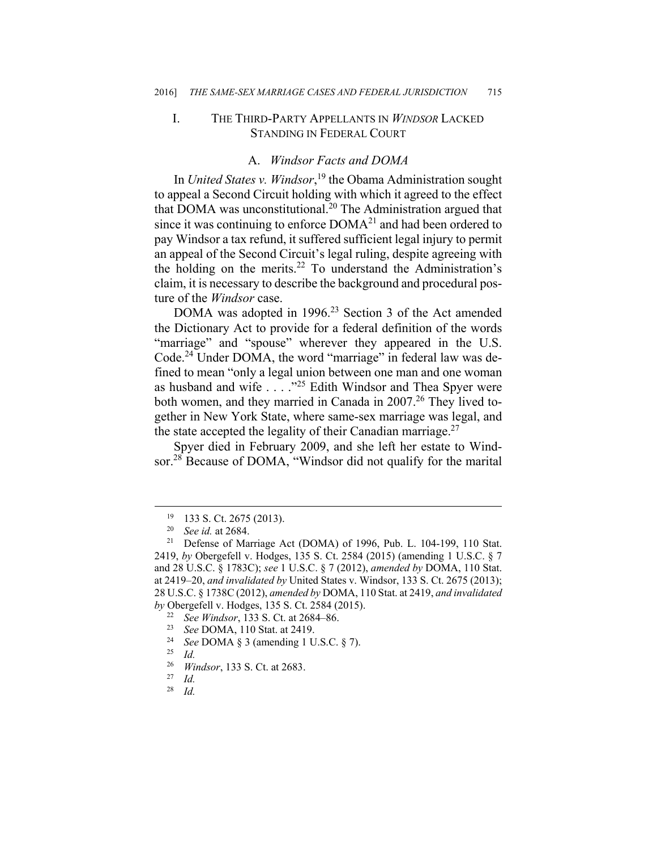#### I. THE THIRD-PARTY APPELLANTS IN *WINDSOR* LACKED STANDING IN FEDERAL COURT

### A. *Windsor Facts and DOMA*

In *United States v. Windsor*, 19 the Obama Administration sought to appeal a Second Circuit holding with which it agreed to the effect that DOMA was unconstitutional.20 The Administration argued that since it was continuing to enforce  $DOMA<sup>21</sup>$  and had been ordered to pay Windsor a tax refund, it suffered sufficient legal injury to permit an appeal of the Second Circuit's legal ruling, despite agreeing with the holding on the merits.<sup>22</sup> To understand the Administration's claim, it is necessary to describe the background and procedural posture of the *Windsor* case.

DOMA was adopted in 1996.<sup>23</sup> Section 3 of the Act amended the Dictionary Act to provide for a federal definition of the words "marriage" and "spouse" wherever they appeared in the U.S. Code.24 Under DOMA, the word "marriage" in federal law was defined to mean "only a legal union between one man and one woman as husband and wife . . . ."25 Edith Windsor and Thea Spyer were both women, and they married in Canada in 2007.<sup>26</sup> They lived together in New York State, where same-sex marriage was legal, and the state accepted the legality of their Canadian marriage.<sup>27</sup>

Spyer died in February 2009, and she left her estate to Windsor.<sup>28</sup> Because of DOMA, "Windsor did not qualify for the marital

<sup>&</sup>lt;sup>19</sup> 133 S. Ct. 2675 (2013).<br><sup>20</sup> *See id.* at 2684.

<sup>&</sup>lt;sup>21</sup> Defense of Marriage Act (DOMA) of 1996, Pub. L. 104-199, 110 Stat. 2419, *by* Obergefell v. Hodges, 135 S. Ct. 2584 (2015) (amending 1 U.S.C. § 7 and 28 U.S.C. § 1783C); *see* 1 U.S.C. § 7 (2012), *amended by* DOMA, 110 Stat. at 2419–20, *and invalidated by* United States v. Windsor, 133 S. Ct. 2675 (2013); 28 U.S.C. § 1738C (2012), *amended by* DOMA, 110 Stat. at 2419, *and invalidated by* Obergefell v. Hodges, 135 S. Ct. 2584 (2015).

<sup>22</sup> See Windsor, 133 S. Ct. at 2684–86.<br>
<sup>23</sup> See DOMA, 110 Stat. at 2419.<br>
<sup>24</sup> See DOMA § 3 (amending 1 U.S.C. § 7).<br>
<sup>25</sup> *Id.*<br>
<sup>26</sup> Windsor 133 S. Ct. at 2683.

<sup>26</sup> *Windsor*, 133 S. Ct. at 2683. 27 *Id.*

*Id.*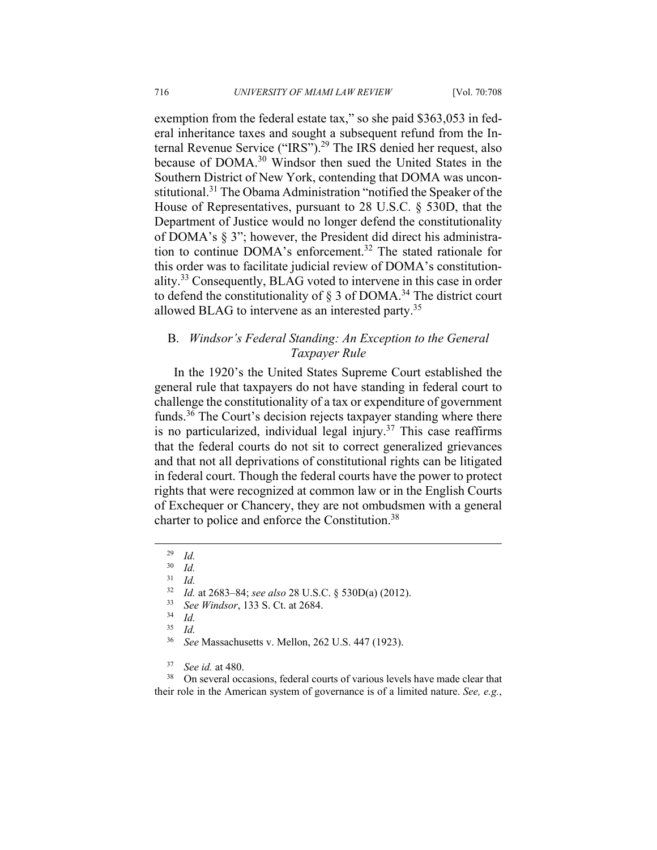exemption from the federal estate tax," so she paid \$363,053 in federal inheritance taxes and sought a subsequent refund from the Internal Revenue Service ("IRS").29 The IRS denied her request, also because of DOMA.<sup>30</sup> Windsor then sued the United States in the Southern District of New York, contending that DOMA was unconstitutional.<sup>31</sup> The Obama Administration "notified the Speaker of the House of Representatives, pursuant to 28 U.S.C. § 530D, that the Department of Justice would no longer defend the constitutionality of DOMA's § 3"; however, the President did direct his administration to continue DOMA's enforcement.<sup>32</sup> The stated rationale for this order was to facilitate judicial review of DOMA's constitutionality.33 Consequently, BLAG voted to intervene in this case in order to defend the constitutionality of  $\S$  3 of DOMA.<sup>34</sup> The district court allowed BLAG to intervene as an interested party.<sup>35</sup>

## B. *Windsor's Federal Standing: An Exception to the General Taxpayer Rule*

In the 1920's the United States Supreme Court established the general rule that taxpayers do not have standing in federal court to challenge the constitutionality of a tax or expenditure of government funds.<sup>36</sup> The Court's decision rejects taxpayer standing where there is no particularized, individual legal injury.<sup>37</sup> This case reaffirms that the federal courts do not sit to correct generalized grievances and that not all deprivations of constitutional rights can be litigated in federal court. Though the federal courts have the power to protect rights that were recognized at common law or in the English Courts of Exchequer or Chancery, they are not ombudsmen with a general charter to police and enforce the Constitution.38

<sup>37</sup> See *id.* at 480.<br><sup>38</sup> On several occasions, federal courts of various levels have made clear that their role in the American system of governance is of a limited nature. *See, e.g.*,

 $\frac{29}{30}$  *Id.* 

 $\frac{30}{31}$  *Id.* 

 $rac{31}{32}$  *Id.* 

<sup>32</sup> *Id.* at 2683–84; *see also* 28 U.S.C. § 530D(a) (2012). 33 *See Windsor*, 133 S. Ct. at 2684. 34 *Id.* 

<sup>35</sup> *Id.*

<sup>36</sup> *See* Massachusetts v. Mellon, 262 U.S. 447 (1923).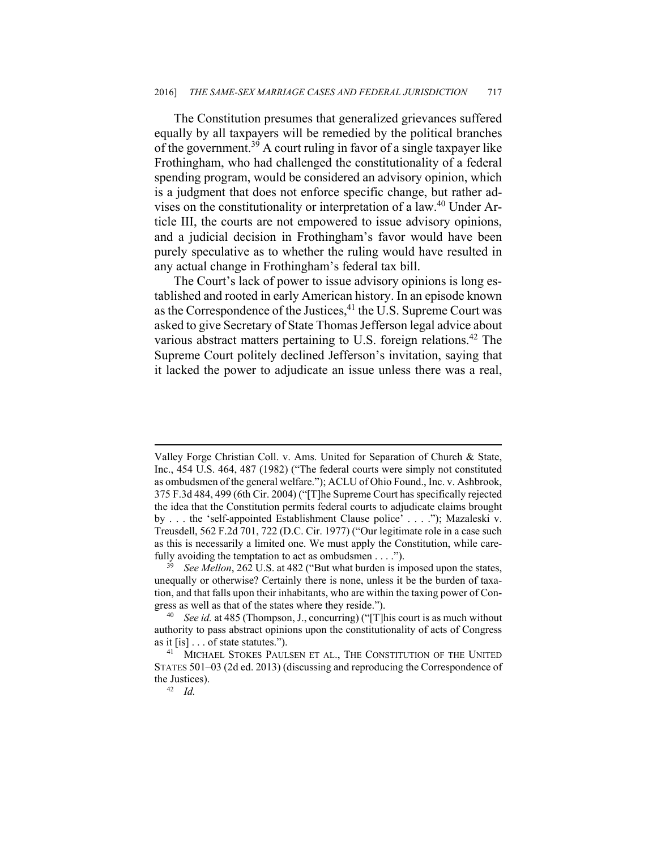The Constitution presumes that generalized grievances suffered equally by all taxpayers will be remedied by the political branches of the government.39 A court ruling in favor of a single taxpayer like Frothingham, who had challenged the constitutionality of a federal spending program, would be considered an advisory opinion, which is a judgment that does not enforce specific change, but rather advises on the constitutionality or interpretation of a law.40 Under Article III, the courts are not empowered to issue advisory opinions, and a judicial decision in Frothingham's favor would have been purely speculative as to whether the ruling would have resulted in any actual change in Frothingham's federal tax bill.

The Court's lack of power to issue advisory opinions is long established and rooted in early American history. In an episode known as the Correspondence of the Justices, $41$  the U.S. Supreme Court was asked to give Secretary of State Thomas Jefferson legal advice about various abstract matters pertaining to U.S. foreign relations.<sup>42</sup> The Supreme Court politely declined Jefferson's invitation, saying that it lacked the power to adjudicate an issue unless there was a real,

Valley Forge Christian Coll. v. Ams. United for Separation of Church & State, Inc., 454 U.S. 464, 487 (1982) ("The federal courts were simply not constituted as ombudsmen of the general welfare."); ACLU of Ohio Found., Inc. v. Ashbrook, 375 F.3d 484, 499 (6th Cir. 2004) ("[T]he Supreme Court has specifically rejected the idea that the Constitution permits federal courts to adjudicate claims brought by . . . the 'self-appointed Establishment Clause police' . . . ."); Mazaleski v. Treusdell, 562 F.2d 701, 722 (D.C. Cir. 1977) ("Our legitimate role in a case such as this is necessarily a limited one. We must apply the Constitution, while carefully avoiding the temptation to act as ombudsmen . . . .").<br><sup>39</sup> See Mellon, 262 U.S. at 482 ("But what burden is imposed upon the states,

unequally or otherwise? Certainly there is none, unless it be the burden of taxation, and that falls upon their inhabitants, who are within the taxing power of Congress as well as that of the states where they reside.").<br><sup>40</sup> See id. at 485 (Thompson, J., concurring) ("[T]his court is as much without

authority to pass abstract opinions upon the constitutionality of acts of Congress as it [is] . . . of state statutes.").<br><sup>41</sup> MICHAEL STOKES PAULSEN ET AL., THE CONSTITUTION OF THE UNITED

STATES 501–03 (2d ed. 2013) (discussing and reproducing the Correspondence of the Justices).<br> $^{42}$  *Id.*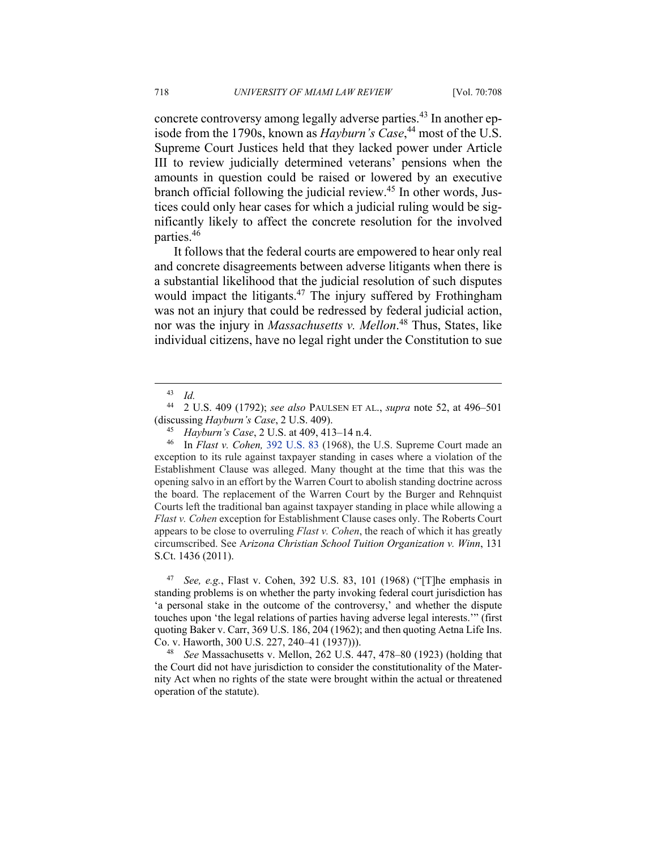concrete controversy among legally adverse parties.<sup>43</sup> In another episode from the 1790s, known as *Hayburn's Case*, 44 most of the U.S. Supreme Court Justices held that they lacked power under Article III to review judicially determined veterans' pensions when the amounts in question could be raised or lowered by an executive branch official following the judicial review.45 In other words, Justices could only hear cases for which a judicial ruling would be significantly likely to affect the concrete resolution for the involved parties.46

It follows that the federal courts are empowered to hear only real and concrete disagreements between adverse litigants when there is a substantial likelihood that the judicial resolution of such disputes would impact the litigants.<sup>47</sup> The injury suffered by Frothingham was not an injury that could be redressed by federal judicial action, nor was the injury in *Massachusetts v. Mellon*. 48 Thus, States, like individual citizens, have no legal right under the Constitution to sue

(discussing *Hayburn's Case*, 2 U.S. 409). 45 *Hayburn's Case*, 2 U.S. at 409, 413–14 n.4. 46 In *Flast v. Cohen,* 392 U.S. 83 (1968), the U.S. Supreme Court made an exception to its rule against taxpayer standing in cases where a violation of the Establishment Clause was alleged. Many thought at the time that this was the opening salvo in an effort by the Warren Court to abolish standing doctrine across the board. The replacement of the Warren Court by the Burger and Rehnquist Courts left the traditional ban against taxpayer standing in place while allowing a *Flast v. Cohen* exception for Establishment Clause cases only. The Roberts Court appears to be close to overruling *Flast v. Cohen*, the reach of which it has greatly circumscribed. See A*rizona Christian School Tuition Organization v. Winn*, 131 S.Ct. 1436 (2011).

<sup>47</sup> *See, e.g.*, Flast v. Cohen, 392 U.S. 83, 101 (1968) ("[T]he emphasis in standing problems is on whether the party invoking federal court jurisdiction has 'a personal stake in the outcome of the controversy,' and whether the dispute touches upon 'the legal relations of parties having adverse legal interests.'" (first quoting Baker v. Carr, 369 U.S. 186, 204 (1962); and then quoting Aetna Life Ins. Co. v. Haworth, 300 U.S. 227, 240–41 (1937))). 48 *See* Massachusetts v. Mellon, 262 U.S. 447, 478–80 (1923) (holding that

the Court did not have jurisdiction to consider the constitutionality of the Maternity Act when no rights of the state were brought within the actual or threatened operation of the statute).

 <sup>43</sup> *Id.*

<sup>44 2</sup> U.S. 409 (1792); *see also* PAULSEN ET AL., *supra* note 52, at 496–501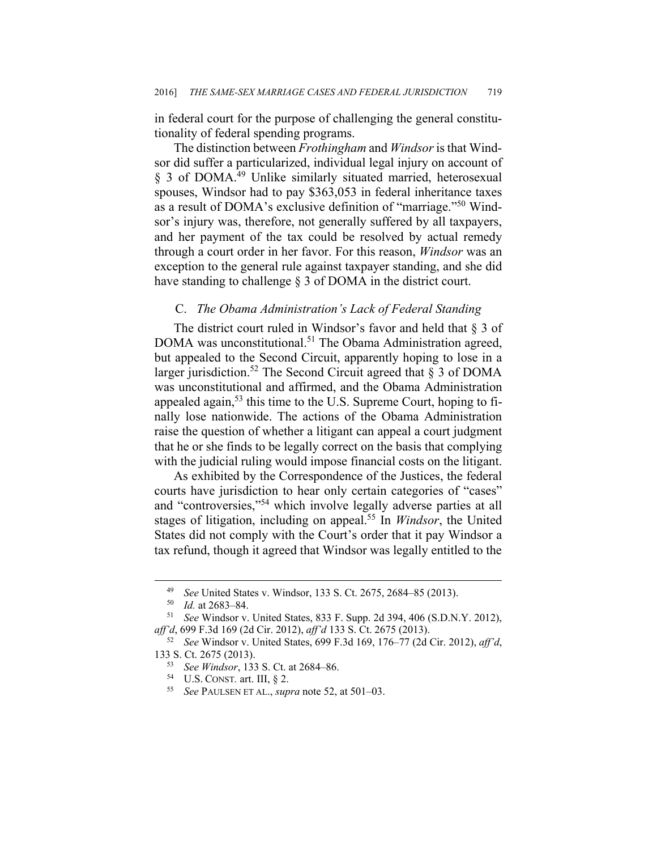in federal court for the purpose of challenging the general constitutionality of federal spending programs.

The distinction between *Frothingham* and *Windsor* is that Windsor did suffer a particularized, individual legal injury on account of § 3 of DOMA.<sup>49</sup> Unlike similarly situated married, heterosexual spouses, Windsor had to pay \$363,053 in federal inheritance taxes as a result of DOMA's exclusive definition of "marriage."50 Windsor's injury was, therefore, not generally suffered by all taxpayers, and her payment of the tax could be resolved by actual remedy through a court order in her favor. For this reason, *Windsor* was an exception to the general rule against taxpayer standing, and she did have standing to challenge § 3 of DOMA in the district court.

#### C. *The Obama Administration's Lack of Federal Standing*

The district court ruled in Windsor's favor and held that § 3 of DOMA was unconstitutional.<sup>51</sup> The Obama Administration agreed, but appealed to the Second Circuit, apparently hoping to lose in a larger jurisdiction.<sup>52</sup> The Second Circuit agreed that  $\S$  3 of DOMA was unconstitutional and affirmed, and the Obama Administration appealed again,<sup>53</sup> this time to the U.S. Supreme Court, hoping to finally lose nationwide. The actions of the Obama Administration raise the question of whether a litigant can appeal a court judgment that he or she finds to be legally correct on the basis that complying with the judicial ruling would impose financial costs on the litigant.

As exhibited by the Correspondence of the Justices, the federal courts have jurisdiction to hear only certain categories of "cases" and "controversies,"54 which involve legally adverse parties at all stages of litigation, including on appeal.55 In *Windsor*, the United States did not comply with the Court's order that it pay Windsor a tax refund, though it agreed that Windsor was legally entitled to the

<sup>49</sup> *See* United States v. Windsor, 133 S. Ct. 2675, 2684–85 (2013). 50 *Id.* at 2683–84. 51 *See* Windsor v. United States, 833 F. Supp. 2d 394, 406 (S.D.N.Y. 2012), *aff'd*, 699 F.3d 169 (2d Cir. 2012), *aff'd* 133 S. Ct. 2675 (2013). 52 *See* Windsor v. United States, 699 F.3d 169, 176–77 (2d Cir. 2012), *aff'd*,

<sup>133</sup> S. Ct. 2675 (2013). 53 *See Windsor*, 133 S. Ct. at 2684–86. 54 U.S. CONST*.* art. III, § 2. 55 *See* PAULSEN ET AL., *supra* note 52, at 501–03.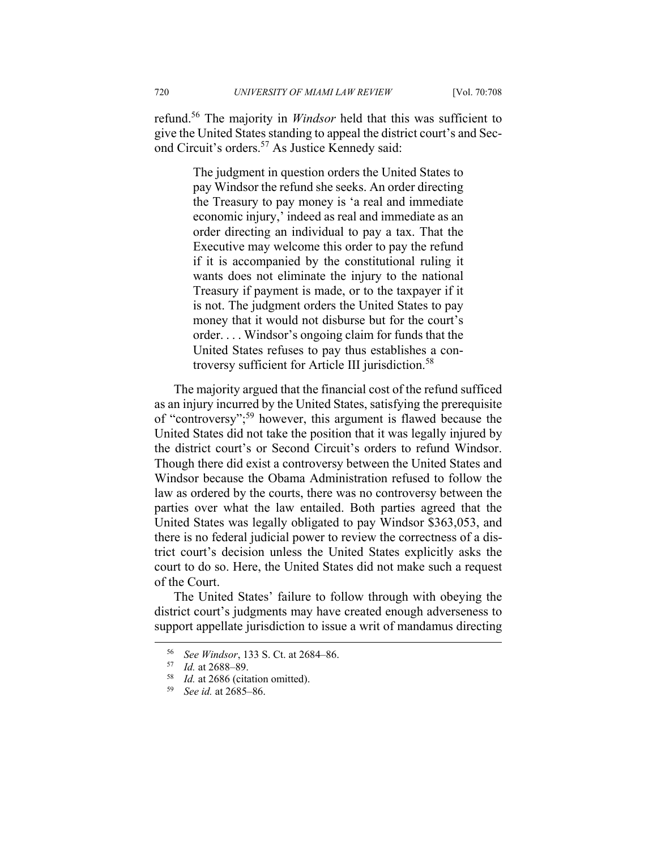refund.56 The majority in *Windsor* held that this was sufficient to give the United States standing to appeal the district court's and Second Circuit's orders.57 As Justice Kennedy said:

> The judgment in question orders the United States to pay Windsor the refund she seeks. An order directing the Treasury to pay money is 'a real and immediate economic injury,' indeed as real and immediate as an order directing an individual to pay a tax. That the Executive may welcome this order to pay the refund if it is accompanied by the constitutional ruling it wants does not eliminate the injury to the national Treasury if payment is made, or to the taxpayer if it is not. The judgment orders the United States to pay money that it would not disburse but for the court's order. . . . Windsor's ongoing claim for funds that the United States refuses to pay thus establishes a controversy sufficient for Article III jurisdiction.58

The majority argued that the financial cost of the refund sufficed as an injury incurred by the United States, satisfying the prerequisite of "controversy";59 however, this argument is flawed because the United States did not take the position that it was legally injured by the district court's or Second Circuit's orders to refund Windsor. Though there did exist a controversy between the United States and Windsor because the Obama Administration refused to follow the law as ordered by the courts, there was no controversy between the parties over what the law entailed. Both parties agreed that the United States was legally obligated to pay Windsor \$363,053, and there is no federal judicial power to review the correctness of a district court's decision unless the United States explicitly asks the court to do so. Here, the United States did not make such a request of the Court.

The United States' failure to follow through with obeying the district court's judgments may have created enough adverseness to support appellate jurisdiction to issue a writ of mandamus directing

<sup>56</sup> *See Windsor*, 133 S. Ct. at 2684–86. 57 *Id.* at 2688–89. 58 *Id.* at 2686 (citation omitted). 59 *See id.* at 2685–86.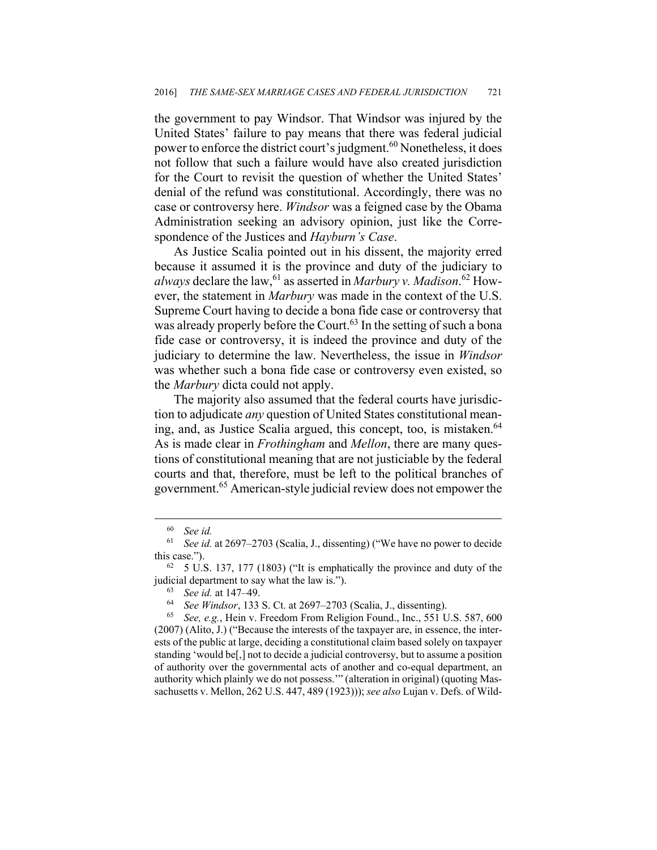the government to pay Windsor. That Windsor was injured by the United States' failure to pay means that there was federal judicial power to enforce the district court's judgment.<sup>60</sup> Nonetheless, it does not follow that such a failure would have also created jurisdiction for the Court to revisit the question of whether the United States' denial of the refund was constitutional. Accordingly, there was no case or controversy here. *Windsor* was a feigned case by the Obama Administration seeking an advisory opinion, just like the Correspondence of the Justices and *Hayburn's Case*.

As Justice Scalia pointed out in his dissent, the majority erred because it assumed it is the province and duty of the judiciary to always declare the law, <sup>61</sup> as asserted in *Marbury v. Madison*.<sup>62</sup> However, the statement in *Marbury* was made in the context of the U.S. Supreme Court having to decide a bona fide case or controversy that was already properly before the Court.<sup>63</sup> In the setting of such a bona fide case or controversy, it is indeed the province and duty of the judiciary to determine the law. Nevertheless, the issue in *Windsor*  was whether such a bona fide case or controversy even existed, so the *Marbury* dicta could not apply.

The majority also assumed that the federal courts have jurisdiction to adjudicate *any* question of United States constitutional meaning, and, as Justice Scalia argued, this concept, too, is mistaken.<sup>64</sup> As is made clear in *Frothingham* and *Mellon*, there are many questions of constitutional meaning that are not justiciable by the federal courts and that, therefore, must be left to the political branches of government.65 American-style judicial review does not empower the

 $60$  See id.<br> $61$  See id.

<sup>61</sup> *See id.* at 2697–2703 (Scalia, J., dissenting) ("We have no power to decide this case.").<br> $62\frac{62}{5}$  U.S. 137, 177 (1803) ("It is emphatically the province and duty of the

judicial department to say what the law is.").<br>
<sup>63</sup> See id. at 147–49.<br>
<sup>64</sup> See Windsor, 133 S. Ct. at 2697–2703 (Scalia, J., dissenting).<br>
<sup>65</sup> See, e.g., Hein v. Freedom From Religion Found., Inc., 551 U.S. 587, 600

<sup>(2007) (</sup>Alito, J.) ("Because the interests of the taxpayer are, in essence, the interests of the public at large, deciding a constitutional claim based solely on taxpayer standing 'would be[,] not to decide a judicial controversy, but to assume a position of authority over the governmental acts of another and co-equal department, an authority which plainly we do not possess.'" (alteration in original) (quoting Massachusetts v. Mellon, 262 U.S. 447, 489 (1923))); *see also* Lujan v. Defs. of Wild-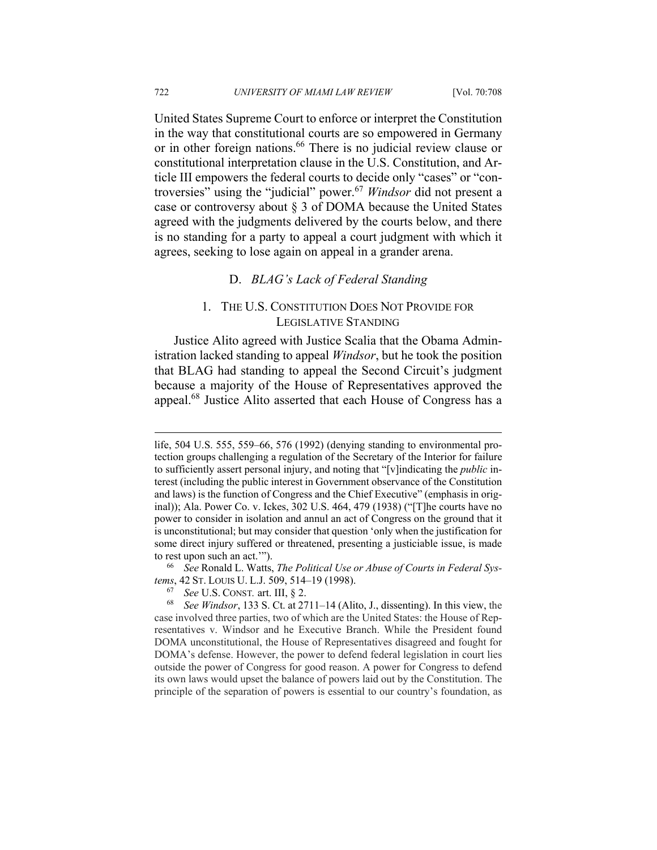United States Supreme Court to enforce or interpret the Constitution in the way that constitutional courts are so empowered in Germany or in other foreign nations.<sup>66</sup> There is no judicial review clause or constitutional interpretation clause in the U.S. Constitution, and Article III empowers the federal courts to decide only "cases" or "controversies" using the "judicial" power.67 *Windsor* did not present a case or controversy about § 3 of DOMA because the United States agreed with the judgments delivered by the courts below, and there is no standing for a party to appeal a court judgment with which it agrees, seeking to lose again on appeal in a grander arena.

#### D. *BLAG's Lack of Federal Standing*

## 1. THE U.S. CONSTITUTION DOES NOT PROVIDE FOR LEGISLATIVE STANDING

Justice Alito agreed with Justice Scalia that the Obama Administration lacked standing to appeal *Windsor*, but he took the position that BLAG had standing to appeal the Second Circuit's judgment because a majority of the House of Representatives approved the appeal.68 Justice Alito asserted that each House of Congress has a

life, 504 U.S. 555, 559–66, 576 (1992) (denying standing to environmental protection groups challenging a regulation of the Secretary of the Interior for failure to sufficiently assert personal injury, and noting that "[v]indicating the *public* interest (including the public interest in Government observance of the Constitution and laws) is the function of Congress and the Chief Executive" (emphasis in original)); Ala. Power Co. v. Ickes, 302 U.S. 464, 479 (1938) ("[T]he courts have no power to consider in isolation and annul an act of Congress on the ground that it is unconstitutional; but may consider that question 'only when the justification for some direct injury suffered or threatened, presenting a justiciable issue, is made to rest upon such an act.'"). 66 *See* Ronald L. Watts, *The Political Use or Abuse of Courts in Federal Sys-*

*tems*, 42 ST. LOUIS U. L.J. 509, 514–19 (1998).<br><sup>67</sup> See U.S. CONST. art. III, § 2.<br><sup>68</sup> See Windsor, 133 S. Ct. at 2711–14 (Alito, J., dissenting). In this view, the case involved three parties, two of which are the United States: the House of Representatives v. Windsor and he Executive Branch. While the President found DOMA unconstitutional, the House of Representatives disagreed and fought for DOMA's defense. However, the power to defend federal legislation in court lies outside the power of Congress for good reason. A power for Congress to defend its own laws would upset the balance of powers laid out by the Constitution. The principle of the separation of powers is essential to our country's foundation, as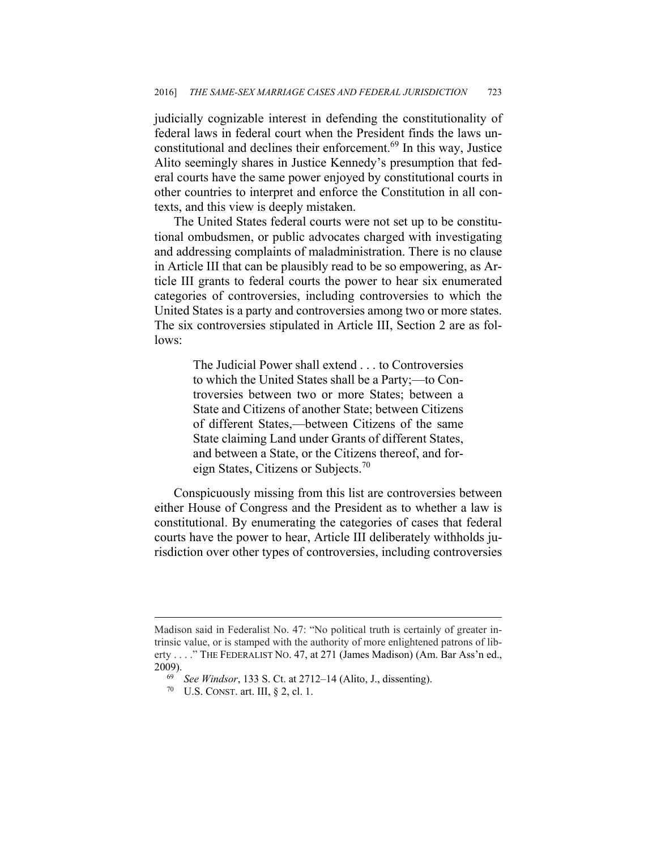judicially cognizable interest in defending the constitutionality of federal laws in federal court when the President finds the laws unconstitutional and declines their enforcement.<sup>69</sup> In this way, Justice Alito seemingly shares in Justice Kennedy's presumption that federal courts have the same power enjoyed by constitutional courts in other countries to interpret and enforce the Constitution in all contexts, and this view is deeply mistaken.

The United States federal courts were not set up to be constitutional ombudsmen, or public advocates charged with investigating and addressing complaints of maladministration. There is no clause in Article III that can be plausibly read to be so empowering, as Article III grants to federal courts the power to hear six enumerated categories of controversies, including controversies to which the United States is a party and controversies among two or more states. The six controversies stipulated in Article III, Section 2 are as follows:

> The Judicial Power shall extend . . . to Controversies to which the United States shall be a Party;—to Controversies between two or more States; between a State and Citizens of another State; between Citizens of different States,—between Citizens of the same State claiming Land under Grants of different States, and between a State, or the Citizens thereof, and foreign States, Citizens or Subjects.<sup>70</sup>

Conspicuously missing from this list are controversies between either House of Congress and the President as to whether a law is constitutional. By enumerating the categories of cases that federal courts have the power to hear, Article III deliberately withholds jurisdiction over other types of controversies, including controversies

Madison said in Federalist No. 47: "No political truth is certainly of greater intrinsic value, or is stamped with the authority of more enlightened patrons of liberty . . . ." THE FEDERALIST NO. 47, at 271 (James Madison) (Am. Bar Ass'n ed., 2009).

<sup>69</sup> *See Windsor*, 133 S. Ct. at 2712–14 (Alito, J., dissenting). 70 U.S. CONST. art. III, § 2, cl. 1.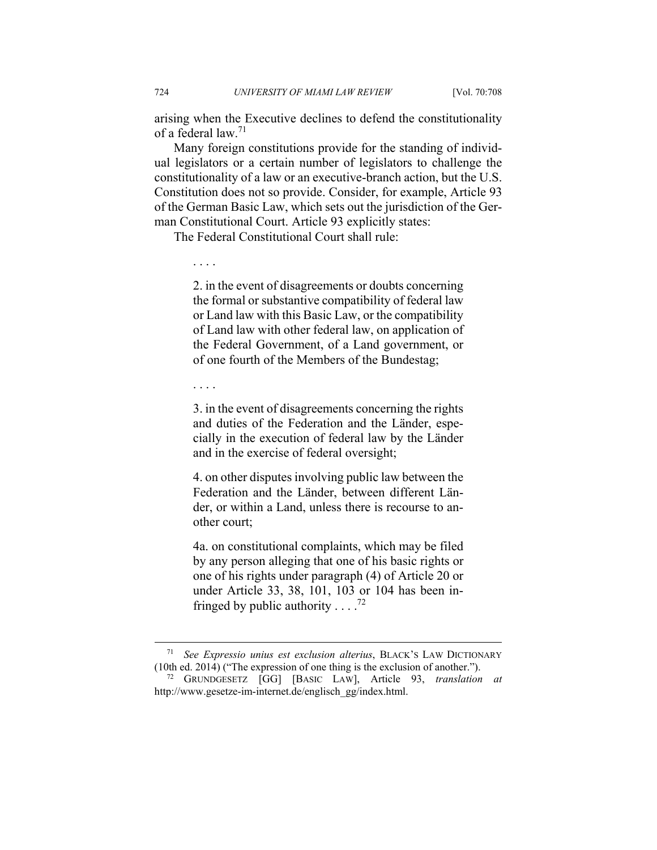arising when the Executive declines to defend the constitutionality of a federal law.71

Many foreign constitutions provide for the standing of individual legislators or a certain number of legislators to challenge the constitutionality of a law or an executive-branch action, but the U.S. Constitution does not so provide. Consider, for example, Article 93 of the German Basic Law, which sets out the jurisdiction of the German Constitutional Court. Article 93 explicitly states:

The Federal Constitutional Court shall rule:

. . . .

2. in the event of disagreements or doubts concerning the formal or substantive compatibility of federal law or Land law with this Basic Law, or the compatibility of Land law with other federal law, on application of the Federal Government, of a Land government, or of one fourth of the Members of the Bundestag;

. . . .

3. in the event of disagreements concerning the rights and duties of the Federation and the Länder, especially in the execution of federal law by the Länder and in the exercise of federal oversight;

4. on other disputes involving public law between the Federation and the Länder, between different Länder, or within a Land, unless there is recourse to another court;

4a. on constitutional complaints, which may be filed by any person alleging that one of his basic rights or one of his rights under paragraph (4) of Article 20 or under Article 33, 38, 101, 103 or 104 has been infringed by public authority . . . .<sup>72</sup>

 71 *See Expressio unius est exclusion alterius*, BLACK'S LAW DICTIONARY (10th ed. 2014) ("The expression of one thing is the exclusion of another."). 72 GRUNDGESETZ [GG] [BASIC LAW], Article 93, *translation at*

http://www.gesetze-im-internet.de/englisch\_gg/index.html.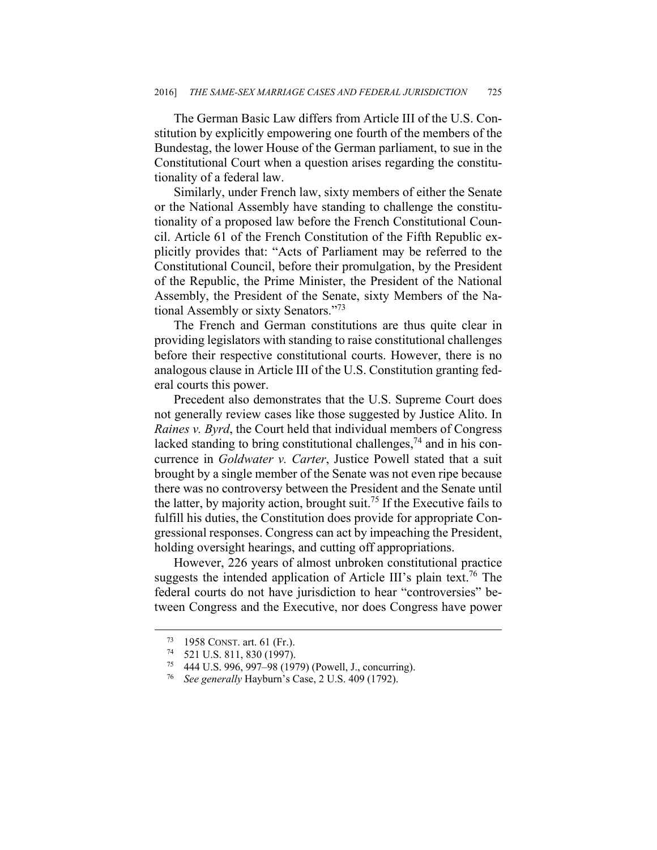The German Basic Law differs from Article III of the U.S. Constitution by explicitly empowering one fourth of the members of the Bundestag, the lower House of the German parliament, to sue in the Constitutional Court when a question arises regarding the constitutionality of a federal law.

Similarly, under French law, sixty members of either the Senate or the National Assembly have standing to challenge the constitutionality of a proposed law before the French Constitutional Council. Article 61 of the French Constitution of the Fifth Republic explicitly provides that: "Acts of Parliament may be referred to the Constitutional Council, before their promulgation, by the President of the Republic, the Prime Minister, the President of the National Assembly, the President of the Senate, sixty Members of the National Assembly or sixty Senators."73

The French and German constitutions are thus quite clear in providing legislators with standing to raise constitutional challenges before their respective constitutional courts. However, there is no analogous clause in Article III of the U.S. Constitution granting federal courts this power.

Precedent also demonstrates that the U.S. Supreme Court does not generally review cases like those suggested by Justice Alito. In *Raines v. Byrd*, the Court held that individual members of Congress lacked standing to bring constitutional challenges,  $74$  and in his concurrence in *Goldwater v. Carter*, Justice Powell stated that a suit brought by a single member of the Senate was not even ripe because there was no controversy between the President and the Senate until the latter, by majority action, brought suit.<sup>75</sup> If the Executive fails to fulfill his duties, the Constitution does provide for appropriate Congressional responses. Congress can act by impeaching the President, holding oversight hearings, and cutting off appropriations.

However, 226 years of almost unbroken constitutional practice suggests the intended application of Article III's plain text.<sup>76</sup> The federal courts do not have jurisdiction to hear "controversies" between Congress and the Executive, nor does Congress have power

 <sup>73 1958</sup> CONST. art. 61 (Fr.).

<sup>74 521</sup> U.S. 811, 830 (1997).

<sup>75 444</sup> U.S. 996, 997–98 (1979) (Powell, J., concurring).

<sup>76</sup> *See generally* Hayburn's Case, 2 U.S. 409 (1792).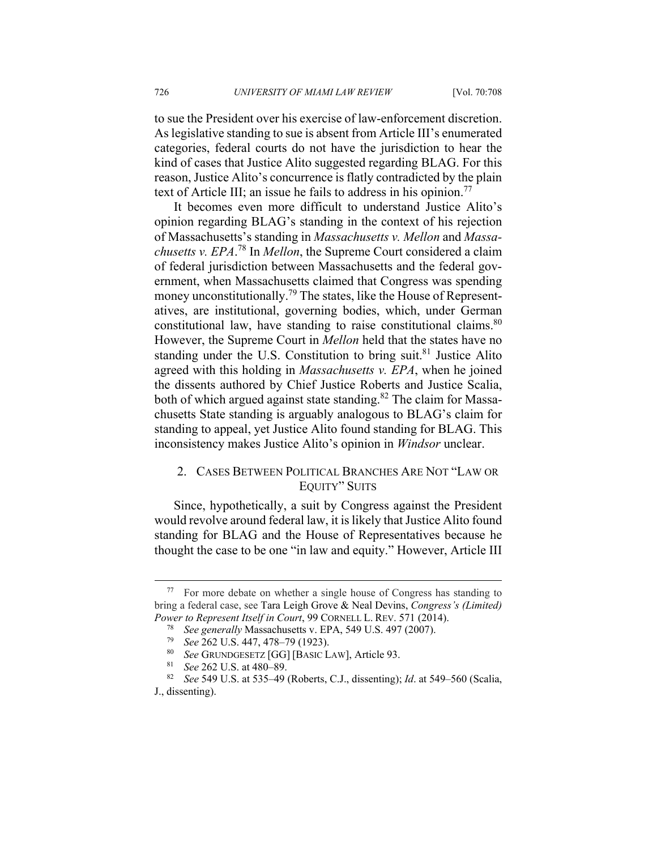to sue the President over his exercise of law-enforcement discretion. As legislative standing to sue is absent from Article III's enumerated categories, federal courts do not have the jurisdiction to hear the kind of cases that Justice Alito suggested regarding BLAG. For this reason, Justice Alito's concurrence is flatly contradicted by the plain text of Article III; an issue he fails to address in his opinion.<sup>77</sup>

It becomes even more difficult to understand Justice Alito's opinion regarding BLAG's standing in the context of his rejection of Massachusetts's standing in *Massachusetts v. Mellon* and *Massachusetts v. EPA*. <sup>78</sup> In *Mellon*, the Supreme Court considered a claim of federal jurisdiction between Massachusetts and the federal government, when Massachusetts claimed that Congress was spending money unconstitutionally.<sup>79</sup> The states, like the House of Representatives, are institutional, governing bodies, which, under German constitutional law, have standing to raise constitutional claims. $80$ However, the Supreme Court in *Mellon* held that the states have no standing under the U.S. Constitution to bring suit.<sup>81</sup> Justice Alito agreed with this holding in *Massachusetts v. EPA*, when he joined the dissents authored by Chief Justice Roberts and Justice Scalia, both of which argued against state standing.<sup>82</sup> The claim for Massachusetts State standing is arguably analogous to BLAG's claim for standing to appeal, yet Justice Alito found standing for BLAG. This inconsistency makes Justice Alito's opinion in *Windsor* unclear.

## 2. CASES BETWEEN POLITICAL BRANCHES ARE NOT "LAW OR EQUITY" SUITS

Since, hypothetically, a suit by Congress against the President would revolve around federal law, it is likely that Justice Alito found standing for BLAG and the House of Representatives because he thought the case to be one "in law and equity." However, Article III

 <sup>77</sup> For more debate on whether a single house of Congress has standing to bring a federal case, see Tara Leigh Grove & Neal Devins, *Congress's (Limited)*  Power to Represent Itself in Court, 99 CORNELL L. REV. 571 (2014).<br>
<sup>78</sup> See generally Massachusetts v. EPA, 549 U.S. 497 (2007).<br>
<sup>79</sup> See 262 U.S. 447, 478–79 (1923).<br>
<sup>80</sup> See GRUNDGESETZ [GG] [BASIC LAW], Article 93.<br>

J., dissenting).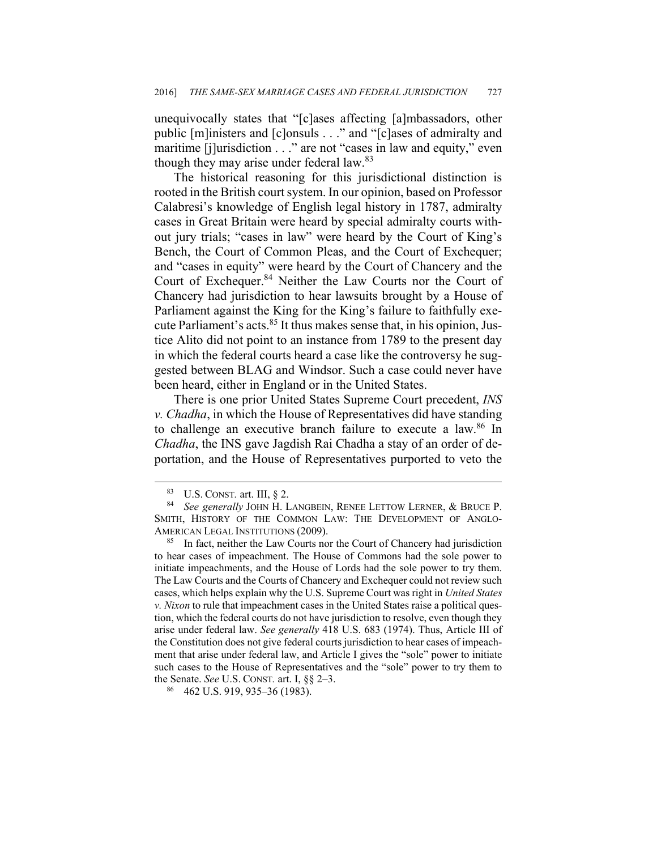unequivocally states that "[c]ases affecting [a]mbassadors, other public [m]inisters and [c]onsuls . . ." and "[c]ases of admiralty and maritime [j]urisdiction . . ." are not "cases in law and equity," even though they may arise under federal law.<sup>83</sup>

The historical reasoning for this jurisdictional distinction is rooted in the British court system. In our opinion, based on Professor Calabresi's knowledge of English legal history in 1787, admiralty cases in Great Britain were heard by special admiralty courts without jury trials; "cases in law" were heard by the Court of King's Bench, the Court of Common Pleas, and the Court of Exchequer; and "cases in equity" were heard by the Court of Chancery and the Court of Exchequer.<sup>84</sup> Neither the Law Courts nor the Court of Chancery had jurisdiction to hear lawsuits brought by a House of Parliament against the King for the King's failure to faithfully execute Parliament's acts.<sup>85</sup> It thus makes sense that, in his opinion, Justice Alito did not point to an instance from 1789 to the present day in which the federal courts heard a case like the controversy he suggested between BLAG and Windsor. Such a case could never have been heard, either in England or in the United States.

There is one prior United States Supreme Court precedent, *INS v. Chadha*, in which the House of Representatives did have standing to challenge an executive branch failure to execute a law.<sup>86</sup> In *Chadha*, the INS gave Jagdish Rai Chadha a stay of an order of deportation, and the House of Representatives purported to veto the

 <sup>83</sup> U.S. CONST*.* art. III, § 2. 84 *See generally* JOHN H. LANGBEIN, RENEE LETTOW LERNER, & BRUCE P. SMITH, HISTORY OF THE COMMON LAW: THE DEVELOPMENT OF ANGLO-AMERICAN LEGAL INSTITUTIONS (2009).<br><sup>85</sup> In fact, neither the Law Courts nor the Court of Chancery had jurisdiction

to hear cases of impeachment. The House of Commons had the sole power to initiate impeachments, and the House of Lords had the sole power to try them. The Law Courts and the Courts of Chancery and Exchequer could not review such cases, which helps explain why the U.S. Supreme Court was right in *United States v. Nixon* to rule that impeachment cases in the United States raise a political question, which the federal courts do not have jurisdiction to resolve, even though they arise under federal law. *See generally* 418 U.S. 683 (1974). Thus, Article III of the Constitution does not give federal courts jurisdiction to hear cases of impeachment that arise under federal law, and Article I gives the "sole" power to initiate such cases to the House of Representatives and the "sole" power to try them to the Senate. *See* U.S. CONST*.* art. I, §§ 2–3. 86 462 U.S. 919, 935–36 (1983).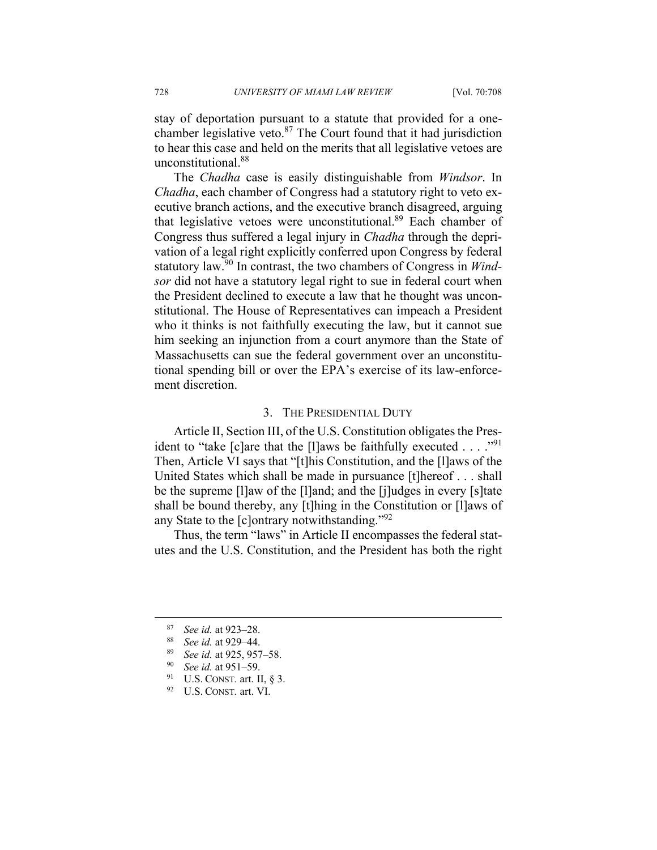stay of deportation pursuant to a statute that provided for a onechamber legislative veto. $87$  The Court found that it had jurisdiction to hear this case and held on the merits that all legislative vetoes are unconstitutional<sup>88</sup>

The *Chadha* case is easily distinguishable from *Windsor*. In *Chadha*, each chamber of Congress had a statutory right to veto executive branch actions, and the executive branch disagreed, arguing that legislative vetoes were unconstitutional.<sup>89</sup> Each chamber of Congress thus suffered a legal injury in *Chadha* through the deprivation of a legal right explicitly conferred upon Congress by federal statutory law.90 In contrast, the two chambers of Congress in *Windsor* did not have a statutory legal right to sue in federal court when the President declined to execute a law that he thought was unconstitutional. The House of Representatives can impeach a President who it thinks is not faithfully executing the law, but it cannot sue him seeking an injunction from a court anymore than the State of Massachusetts can sue the federal government over an unconstitutional spending bill or over the EPA's exercise of its law-enforcement discretion.

#### 3. THE PRESIDENTIAL DUTY

Article II, Section III, of the U.S. Constitution obligates the President to "take [c]are that the [l]aws be faithfully executed  $\dots$  ."<sup>91</sup> Then, Article VI says that "[t]his Constitution, and the [l]aws of the United States which shall be made in pursuance [t]hereof . . . shall be the supreme [l]aw of the [l]and; and the [j]udges in every [s]tate shall be bound thereby, any [t]hing in the Constitution or [l]aws of any State to the [c]ontrary notwithstanding."<sup>92</sup>

Thus, the term "laws" in Article II encompasses the federal statutes and the U.S. Constitution, and the President has both the right

<sup>87</sup> *See id.* at 923–28. 88 *See id.* at 929–44. 89 *See id.* at 925, 957–58. 90 *See id.* at 951–59. 91 U.S. CONST*.* art. II, § 3.

<sup>92</sup> U.S. CONST*.* art. VI.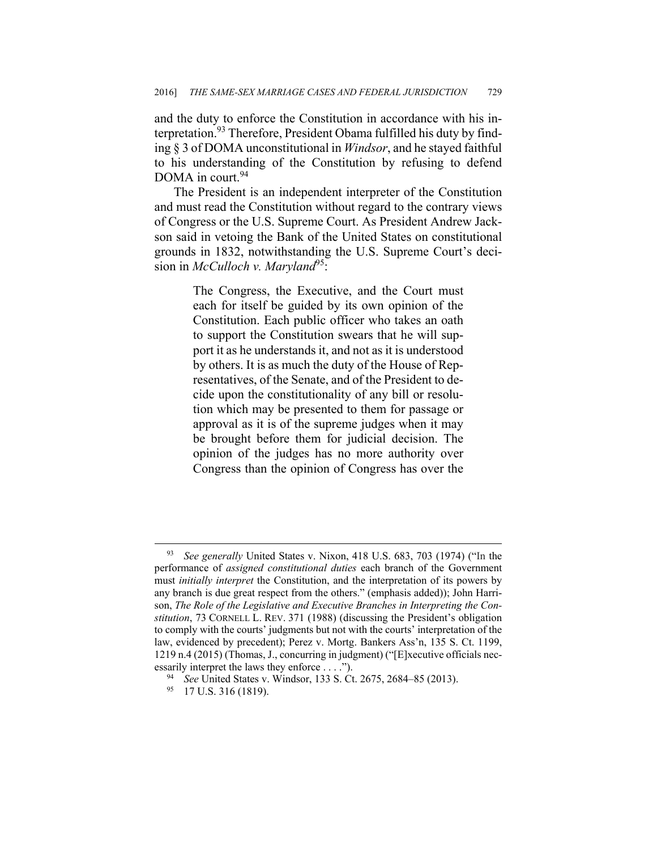and the duty to enforce the Constitution in accordance with his interpretation.<sup>93</sup> Therefore, President Obama fulfilled his duty by finding § 3 of DOMA unconstitutional in *Windsor*, and he stayed faithful to his understanding of the Constitution by refusing to defend DOMA in court. $94$ 

The President is an independent interpreter of the Constitution and must read the Constitution without regard to the contrary views of Congress or the U.S. Supreme Court. As President Andrew Jackson said in vetoing the Bank of the United States on constitutional grounds in 1832, notwithstanding the U.S. Supreme Court's decision in *McCulloch v. Maryland*<sup>95</sup>:

> The Congress, the Executive, and the Court must each for itself be guided by its own opinion of the Constitution. Each public officer who takes an oath to support the Constitution swears that he will support it as he understands it, and not as it is understood by others. It is as much the duty of the House of Representatives, of the Senate, and of the President to decide upon the constitutionality of any bill or resolution which may be presented to them for passage or approval as it is of the supreme judges when it may be brought before them for judicial decision. The opinion of the judges has no more authority over Congress than the opinion of Congress has over the

 <sup>93</sup> *See generally* United States v. Nixon, 418 U.S. 683, 703 (1974) ("In the performance of *assigned constitutional duties* each branch of the Government must *initially interpret* the Constitution, and the interpretation of its powers by any branch is due great respect from the others." (emphasis added)); John Harrison, *The Role of the Legislative and Executive Branches in Interpreting the Constitution*, 73 CORNELL L. REV. 371 (1988) (discussing the President's obligation to comply with the courts' judgments but not with the courts' interpretation of the law, evidenced by precedent); Perez v. Mortg. Bankers Ass'n, 135 S. Ct. 1199, 1219 n.4 (2015) (Thomas, J., concurring in judgment) ("[E]xecutive officials nec-

essarily interpret the laws they enforce . . . .").<br><sup>94</sup> *See* United States v. Windsor, 133 S. Ct. 2675, 2684–85 (2013).<br><sup>95</sup> 17 U.S. 316 (1819).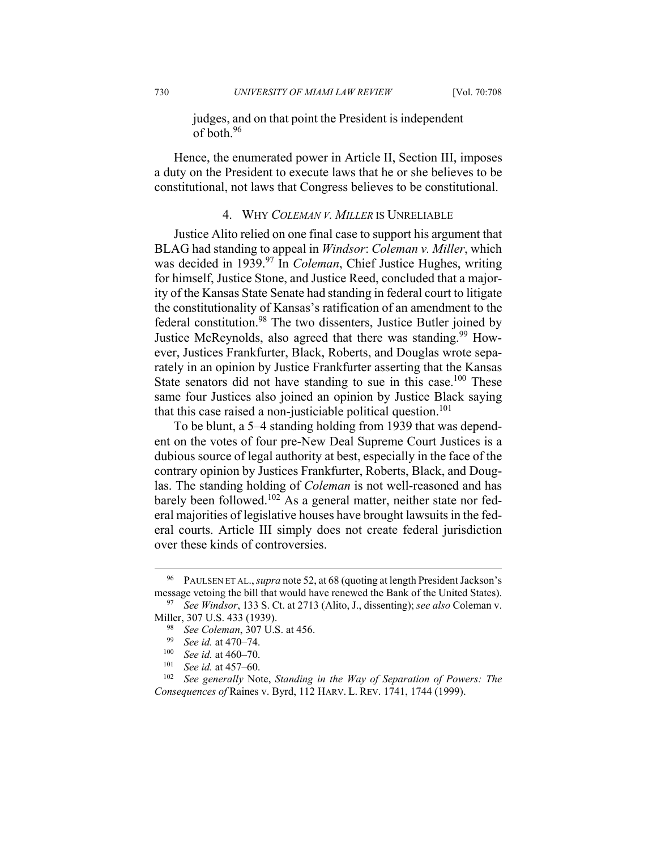judges, and on that point the President is independent of both<sup>96</sup>

Hence, the enumerated power in Article II, Section III, imposes a duty on the President to execute laws that he or she believes to be constitutional, not laws that Congress believes to be constitutional.

## 4. WHY *COLEMAN V. MILLER* IS UNRELIABLE

Justice Alito relied on one final case to support his argument that BLAG had standing to appeal in *Windsor*: *Coleman v. Miller*, which was decided in 1939.97 In *Coleman*, Chief Justice Hughes, writing for himself, Justice Stone, and Justice Reed, concluded that a majority of the Kansas State Senate had standing in federal court to litigate the constitutionality of Kansas's ratification of an amendment to the federal constitution.<sup>98</sup> The two dissenters, Justice Butler joined by Justice McReynolds, also agreed that there was standing.<sup>99</sup> However, Justices Frankfurter, Black, Roberts, and Douglas wrote separately in an opinion by Justice Frankfurter asserting that the Kansas State senators did not have standing to sue in this case.<sup>100</sup> These same four Justices also joined an opinion by Justice Black saying that this case raised a non-justiciable political question.<sup>101</sup>

To be blunt, a 5–4 standing holding from 1939 that was dependent on the votes of four pre-New Deal Supreme Court Justices is a dubious source of legal authority at best, especially in the face of the contrary opinion by Justices Frankfurter, Roberts, Black, and Douglas. The standing holding of *Coleman* is not well-reasoned and has barely been followed.<sup>102</sup> As a general matter, neither state nor federal majorities of legislative houses have brought lawsuits in the federal courts. Article III simply does not create federal jurisdiction over these kinds of controversies.

 <sup>96</sup> PAULSEN ET AL., *supra* note 52, at 68 (quoting at length President Jackson's message vetoing the bill that would have renewed the Bank of the United States). 97 *See Windsor*, 133 S. Ct. at 2713 (Alito, J., dissenting); *see also* Coleman v.

Miller, 307 U.S. 433 (1939).<br><sup>98</sup> *See Coleman*, 307 U.S. at 456.<br><sup>99</sup> *See id.* at 470–74.<br><sup>100</sup> *See id.* at 457–60.<br><sup>101</sup> *See id.* at 457–60.<br><sup>102</sup> *See generally* Note, *Standing in the Way of Separation of Powers: T Consequences of* Raines v. Byrd, 112 HARV. L. REV. 1741, 1744 (1999).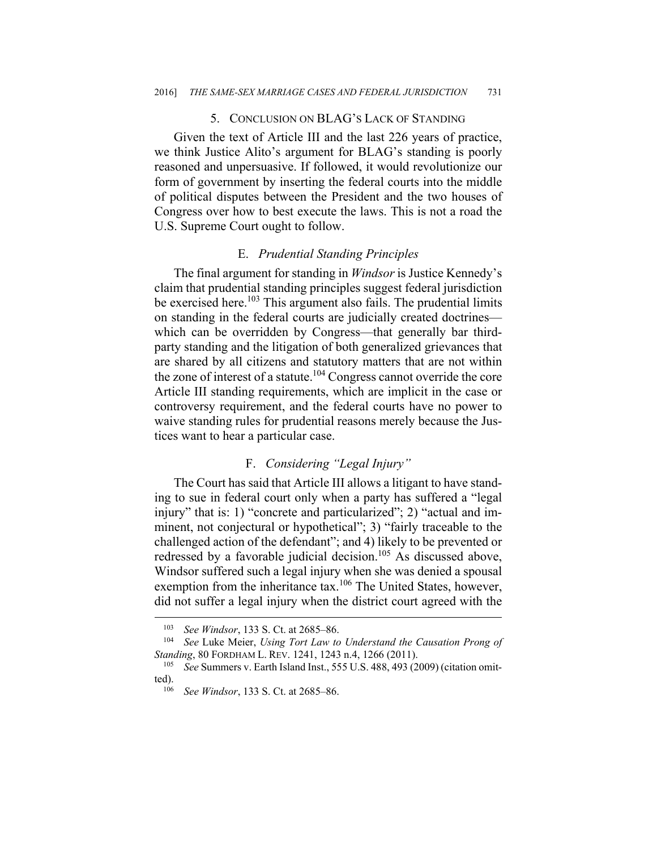#### 5. CONCLUSION ON BLAG'S LACK OF STANDING

Given the text of Article III and the last 226 years of practice, we think Justice Alito's argument for BLAG's standing is poorly reasoned and unpersuasive. If followed, it would revolutionize our form of government by inserting the federal courts into the middle of political disputes between the President and the two houses of Congress over how to best execute the laws. This is not a road the U.S. Supreme Court ought to follow.

#### E. *Prudential Standing Principles*

The final argument for standing in *Windsor* is Justice Kennedy's claim that prudential standing principles suggest federal jurisdiction be exercised here.<sup>103</sup> This argument also fails. The prudential limits on standing in the federal courts are judicially created doctrines which can be overridden by Congress—that generally bar thirdparty standing and the litigation of both generalized grievances that are shared by all citizens and statutory matters that are not within the zone of interest of a statute.<sup>104</sup> Congress cannot override the core Article III standing requirements, which are implicit in the case or controversy requirement, and the federal courts have no power to waive standing rules for prudential reasons merely because the Justices want to hear a particular case.

#### F. *Considering "Legal Injury"*

The Court has said that Article III allows a litigant to have standing to sue in federal court only when a party has suffered a "legal injury" that is: 1) "concrete and particularized"; 2) "actual and imminent, not conjectural or hypothetical"; 3) "fairly traceable to the challenged action of the defendant"; and 4) likely to be prevented or redressed by a favorable judicial decision.<sup>105</sup> As discussed above, Windsor suffered such a legal injury when she was denied a spousal exemption from the inheritance tax.<sup>106</sup> The United States, however, did not suffer a legal injury when the district court agreed with the

<sup>103</sup> *See Windsor*, 133 S. Ct. at 2685–86. 104 *See* Luke Meier, *Using Tort Law to Understand the Causation Prong of Standing*, 80 FORDHAM L. REV. 1241, 1243 n.4, 1266 (2011).<br><sup>105</sup> *See* Summers v. Earth Island Inst., 555 U.S. 488, 493 (2009) (citation omit-

ted). 106 *See Windsor*, 133 S. Ct. at 2685–86.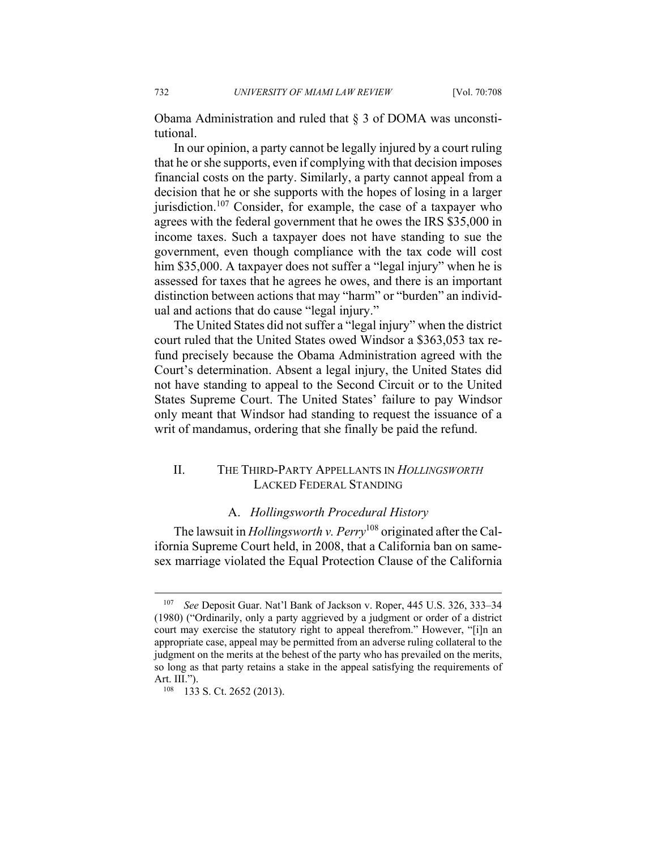Obama Administration and ruled that § 3 of DOMA was unconstitutional.

In our opinion, a party cannot be legally injured by a court ruling that he or she supports, even if complying with that decision imposes financial costs on the party. Similarly, a party cannot appeal from a decision that he or she supports with the hopes of losing in a larger jurisdiction.107 Consider, for example, the case of a taxpayer who agrees with the federal government that he owes the IRS \$35,000 in income taxes. Such a taxpayer does not have standing to sue the government, even though compliance with the tax code will cost him \$35,000. A taxpayer does not suffer a "legal injury" when he is assessed for taxes that he agrees he owes, and there is an important distinction between actions that may "harm" or "burden" an individual and actions that do cause "legal injury."

The United States did not suffer a "legal injury" when the district court ruled that the United States owed Windsor a \$363,053 tax refund precisely because the Obama Administration agreed with the Court's determination. Absent a legal injury, the United States did not have standing to appeal to the Second Circuit or to the United States Supreme Court. The United States' failure to pay Windsor only meant that Windsor had standing to request the issuance of a writ of mandamus, ordering that she finally be paid the refund.

## II. THE THIRD-PARTY APPELLANTS IN *HOLLINGSWORTH* LACKED FEDERAL STANDING

#### A. *Hollingsworth Procedural History*

The lawsuit in *Hollingsworth v. Perry*<sup>108</sup> originated after the California Supreme Court held, in 2008, that a California ban on samesex marriage violated the Equal Protection Clause of the California

<sup>107</sup> *See* Deposit Guar. Nat'l Bank of Jackson v. Roper, 445 U.S. 326, 333–34 (1980) ("Ordinarily, only a party aggrieved by a judgment or order of a district court may exercise the statutory right to appeal therefrom." However, "[i]n an appropriate case, appeal may be permitted from an adverse ruling collateral to the judgment on the merits at the behest of the party who has prevailed on the merits, so long as that party retains a stake in the appeal satisfying the requirements of Art. III.").<br><sup>108</sup> 133 S. Ct. 2652 (2013).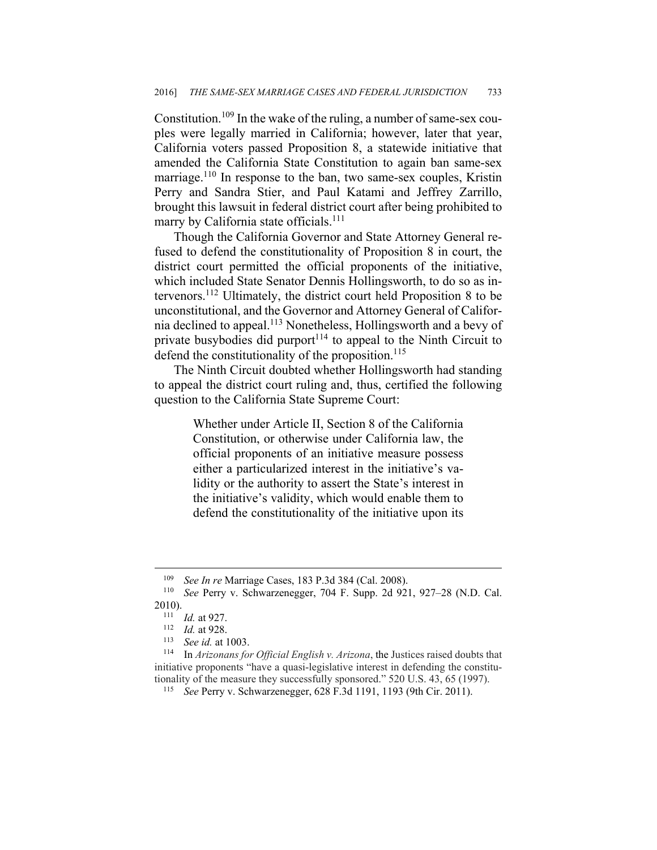Constitution.<sup>109</sup> In the wake of the ruling, a number of same-sex couples were legally married in California; however, later that year, California voters passed Proposition 8, a statewide initiative that amended the California State Constitution to again ban same-sex marriage.<sup>110</sup> In response to the ban, two same-sex couples, Kristin Perry and Sandra Stier, and Paul Katami and Jeffrey Zarrillo, brought this lawsuit in federal district court after being prohibited to marry by California state officials.<sup>111</sup>

Though the California Governor and State Attorney General refused to defend the constitutionality of Proposition 8 in court, the district court permitted the official proponents of the initiative, which included State Senator Dennis Hollingsworth, to do so as intervenors.112 Ultimately, the district court held Proposition 8 to be unconstitutional, and the Governor and Attorney General of California declined to appeal.113 Nonetheless, Hollingsworth and a bevy of private busybodies did purport $114$  to appeal to the Ninth Circuit to defend the constitutionality of the proposition. $115$ 

The Ninth Circuit doubted whether Hollingsworth had standing to appeal the district court ruling and, thus, certified the following question to the California State Supreme Court:

> Whether under Article II, Section 8 of the California Constitution, or otherwise under California law, the official proponents of an initiative measure possess either a particularized interest in the initiative's validity or the authority to assert the State's interest in the initiative's validity, which would enable them to defend the constitutionality of the initiative upon its

<sup>109</sup> *See In re* Marriage Cases, 183 P.3d 384 (Cal. 2008). 110 *See* Perry v. Schwarzenegger, 704 F. Supp. 2d 921, 927–28 (N.D. Cal. 2010).<br><sup>111</sup> *Id.* at 927.<br><sup>112</sup> *Id.* at 928.<br><sup>113</sup> See id. at 1003.<br><sup>114</sup> In *Arizonans for Official English v. Arizona*, the Justices raised doubts that

initiative proponents "have a quasi-legislative interest in defending the constitutionality of the measure they successfully sponsored." 520 U.S. 43, 65 (1997).

<sup>115</sup> *See* Perry v. Schwarzenegger, 628 F.3d 1191, 1193 (9th Cir. 2011).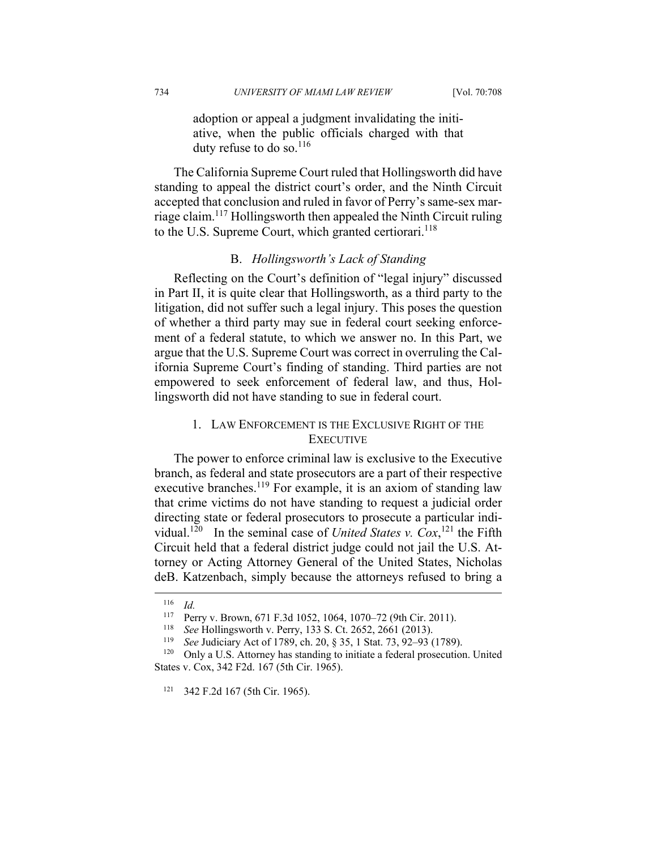adoption or appeal a judgment invalidating the initiative, when the public officials charged with that duty refuse to do so. $116$ 

The California Supreme Court ruled that Hollingsworth did have standing to appeal the district court's order, and the Ninth Circuit accepted that conclusion and ruled in favor of Perry's same-sex marriage claim.117 Hollingsworth then appealed the Ninth Circuit ruling to the U.S. Supreme Court, which granted certiorari.<sup>118</sup>

#### B. *Hollingsworth's Lack of Standing*

Reflecting on the Court's definition of "legal injury" discussed in Part II, it is quite clear that Hollingsworth, as a third party to the litigation, did not suffer such a legal injury. This poses the question of whether a third party may sue in federal court seeking enforcement of a federal statute, to which we answer no. In this Part, we argue that the U.S. Supreme Court was correct in overruling the California Supreme Court's finding of standing. Third parties are not empowered to seek enforcement of federal law, and thus, Hollingsworth did not have standing to sue in federal court.

## 1. LAW ENFORCEMENT IS THE EXCLUSIVE RIGHT OF THE **EXECUTIVE**

The power to enforce criminal law is exclusive to the Executive branch, as federal and state prosecutors are a part of their respective executive branches.<sup>119</sup> For example, it is an axiom of standing law that crime victims do not have standing to request a judicial order directing state or federal prosecutors to prosecute a particular individual.<sup>120</sup> In the seminal case of *United States v. Cox*,<sup>121</sup> the Fifth Circuit held that a federal district judge could not jail the U.S. Attorney or Acting Attorney General of the United States, Nicholas deB. Katzenbach, simply because the attorneys refused to bring a

 $\frac{116}{117}$  *Id.* 

<sup>&</sup>lt;sup>117</sup> Perry v. Brown, 671 F.3d 1052, 1064, 1070–72 (9th Cir. 2011).<br><sup>118</sup> *See* Hollingsworth v. Perry, 133 S. Ct. 2652, 2661 (2013).<br><sup>119</sup> *See* Judiciary Act of 1789, ch. 20, § 35, 1 Stat. 73, 92–93 (1789).<br><sup>120</sup> Only a States v. Cox, 342 F2d. 167 (5th Cir. 1965).

<sup>121 342</sup> F.2d 167 (5th Cir. 1965).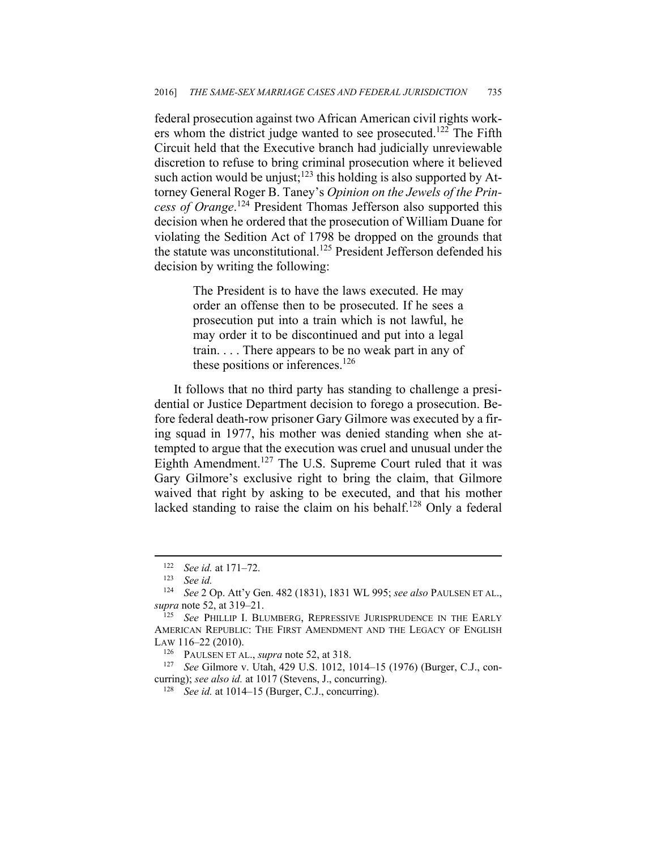federal prosecution against two African American civil rights workers whom the district judge wanted to see prosecuted.<sup>122</sup> The Fifth Circuit held that the Executive branch had judicially unreviewable discretion to refuse to bring criminal prosecution where it believed such action would be unjust;<sup>123</sup> this holding is also supported by Attorney General Roger B. Taney's *Opinion on the Jewels of the Princess of Orange*. 124 President Thomas Jefferson also supported this decision when he ordered that the prosecution of William Duane for violating the Sedition Act of 1798 be dropped on the grounds that the statute was unconstitutional.<sup>125</sup> President Jefferson defended his decision by writing the following:

> The President is to have the laws executed. He may order an offense then to be prosecuted. If he sees a prosecution put into a train which is not lawful, he may order it to be discontinued and put into a legal train. . . . There appears to be no weak part in any of these positions or inferences.<sup>126</sup>

It follows that no third party has standing to challenge a presidential or Justice Department decision to forego a prosecution. Before federal death-row prisoner Gary Gilmore was executed by a firing squad in 1977, his mother was denied standing when she attempted to argue that the execution was cruel and unusual under the Eighth Amendment.<sup>127</sup> The U.S. Supreme Court ruled that it was Gary Gilmore's exclusive right to bring the claim, that Gilmore waived that right by asking to be executed, and that his mother lacked standing to raise the claim on his behalf.<sup>128</sup> Only a federal

 $\overline{a}$ 

curring); *see also id.* at 1017 (Stevens, J., concurring). 128 *See id.* at 1014–15 (Burger, C.J., concurring).

<sup>122</sup> *See id.* at 171–72. 123 *See id.* 

<sup>124</sup> *See* 2 Op. Att'y Gen. 482 (1831), 1831 WL 995; *see also* PAULSEN ET AL., *supra* note 52, at 319–21. 125 *See* PHILLIP I. BLUMBERG, REPRESSIVE JURISPRUDENCE IN THE EARLY

AMERICAN REPUBLIC: THE FIRST AMENDMENT AND THE LEGACY OF ENGLISH LAW 116–22 (2010). 126 PAULSEN ET AL., *supra* note 52, at 318. 127 *See* Gilmore v. Utah, 429 U.S. 1012, 1014–15 (1976) (Burger, C.J., con-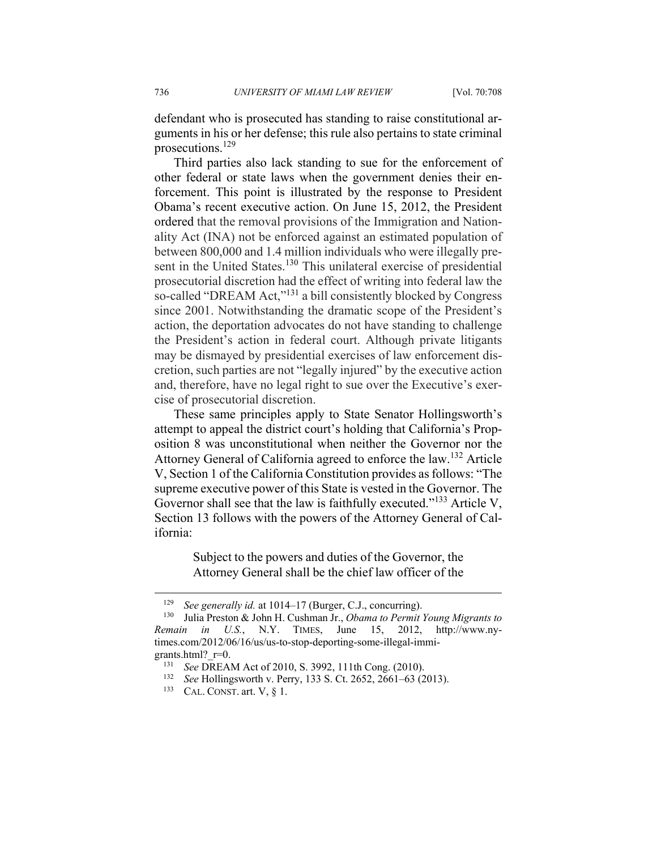defendant who is prosecuted has standing to raise constitutional arguments in his or her defense; this rule also pertains to state criminal prosecutions.129

Third parties also lack standing to sue for the enforcement of other federal or state laws when the government denies their enforcement. This point is illustrated by the response to President Obama's recent executive action. On June 15, 2012, the President ordered that the removal provisions of the Immigration and Nationality Act (INA) not be enforced against an estimated population of between 800,000 and 1.4 million individuals who were illegally present in the United States.<sup>130</sup> This unilateral exercise of presidential prosecutorial discretion had the effect of writing into federal law the so-called "DREAM Act,"<sup>131</sup> a bill consistently blocked by Congress since 2001. Notwithstanding the dramatic scope of the President's action, the deportation advocates do not have standing to challenge the President's action in federal court. Although private litigants may be dismayed by presidential exercises of law enforcement discretion, such parties are not "legally injured" by the executive action and, therefore, have no legal right to sue over the Executive's exercise of prosecutorial discretion.

These same principles apply to State Senator Hollingsworth's attempt to appeal the district court's holding that California's Proposition 8 was unconstitutional when neither the Governor nor the Attorney General of California agreed to enforce the law.<sup>132</sup> Article V, Section 1 of the California Constitution provides as follows: "The supreme executive power of this State is vested in the Governor. The Governor shall see that the law is faithfully executed."<sup>133</sup> Article V, Section 13 follows with the powers of the Attorney General of California:

> Subject to the powers and duties of the Governor, the Attorney General shall be the chief law officer of the

<sup>129</sup> *See generally id.* at 1014–17 (Burger, C.J., concurring). 130 Julia Preston & John H. Cushman Jr., *Obama to Permit Young Migrants to Remain in U.S.*, N.Y. TIMES, June 15, 2012, http://www.nytimes.com/2012/06/16/us/us-to-stop-deporting-some-illegal-immi-

grants.html?\_r=0.<br><sup>131</sup> See DREAM Act of 2010, S. 3992, 111th Cong. (2010).<br><sup>132</sup> See Hollingsworth v. Perry, 133 S. Ct. 2652, 2661–63 (2013).<br><sup>133</sup> CAL. CONST. art. V, § 1.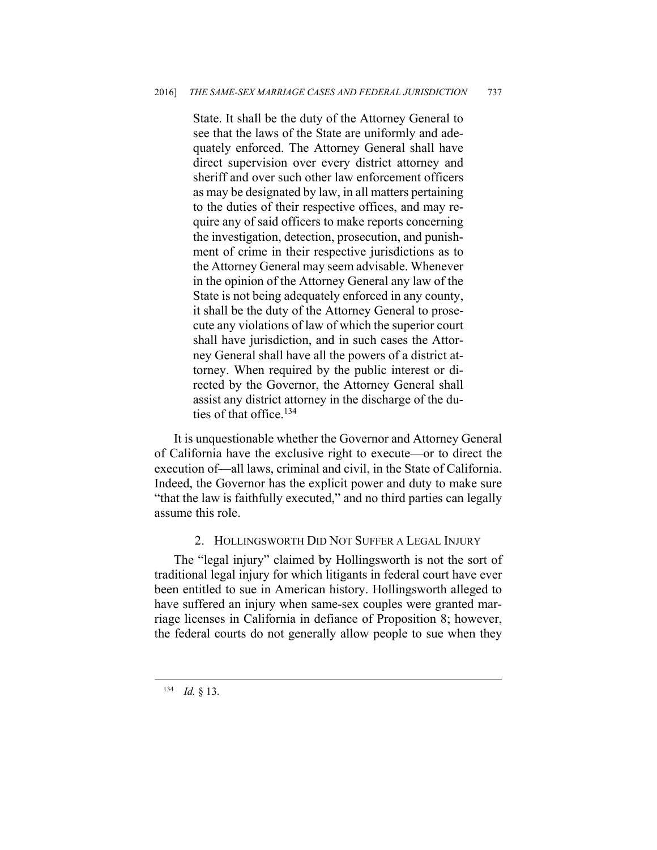State. It shall be the duty of the Attorney General to see that the laws of the State are uniformly and adequately enforced. The Attorney General shall have direct supervision over every district attorney and sheriff and over such other law enforcement officers as may be designated by law, in all matters pertaining to the duties of their respective offices, and may require any of said officers to make reports concerning the investigation, detection, prosecution, and punishment of crime in their respective jurisdictions as to the Attorney General may seem advisable. Whenever in the opinion of the Attorney General any law of the State is not being adequately enforced in any county, it shall be the duty of the Attorney General to prosecute any violations of law of which the superior court shall have jurisdiction, and in such cases the Attorney General shall have all the powers of a district attorney. When required by the public interest or directed by the Governor, the Attorney General shall assist any district attorney in the discharge of the duties of that office.<sup>134</sup>

It is unquestionable whether the Governor and Attorney General of California have the exclusive right to execute—or to direct the execution of—all laws, criminal and civil, in the State of California. Indeed, the Governor has the explicit power and duty to make sure "that the law is faithfully executed," and no third parties can legally assume this role.

#### 2. HOLLINGSWORTH DID NOT SUFFER A LEGAL INJURY

The "legal injury" claimed by Hollingsworth is not the sort of traditional legal injury for which litigants in federal court have ever been entitled to sue in American history. Hollingsworth alleged to have suffered an injury when same-sex couples were granted marriage licenses in California in defiance of Proposition 8; however, the federal courts do not generally allow people to sue when they

<sup>134</sup> *Id.* § 13.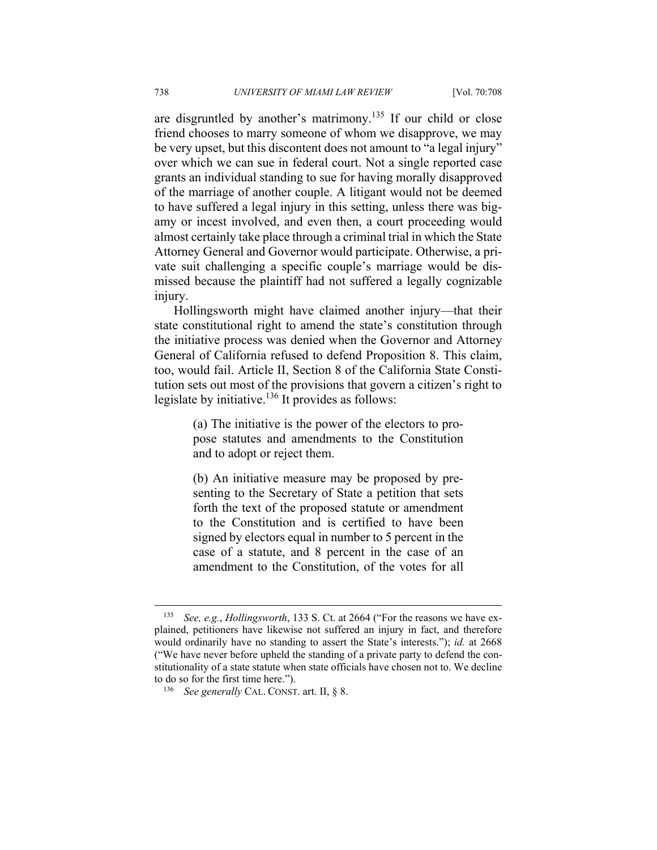are disgruntled by another's matrimony.<sup>135</sup> If our child or close friend chooses to marry someone of whom we disapprove, we may be very upset, but this discontent does not amount to "a legal injury" over which we can sue in federal court. Not a single reported case grants an individual standing to sue for having morally disapproved of the marriage of another couple. A litigant would not be deemed to have suffered a legal injury in this setting, unless there was bigamy or incest involved, and even then, a court proceeding would almost certainly take place through a criminal trial in which the State Attorney General and Governor would participate. Otherwise, a private suit challenging a specific couple's marriage would be dismissed because the plaintiff had not suffered a legally cognizable injury.

Hollingsworth might have claimed another injury—that their state constitutional right to amend the state's constitution through the initiative process was denied when the Governor and Attorney General of California refused to defend Proposition 8. This claim, too, would fail. Article II, Section 8 of the California State Constitution sets out most of the provisions that govern a citizen's right to legislate by initiative.<sup>136</sup> It provides as follows:

> (a) The initiative is the power of the electors to propose statutes and amendments to the Constitution and to adopt or reject them.

> (b) An initiative measure may be proposed by presenting to the Secretary of State a petition that sets forth the text of the proposed statute or amendment to the Constitution and is certified to have been signed by electors equal in number to 5 percent in the case of a statute, and 8 percent in the case of an amendment to the Constitution, of the votes for all

<sup>135</sup> *See, e.g.*, *Hollingsworth*, 133 S. Ct. at 2664 ("For the reasons we have explained, petitioners have likewise not suffered an injury in fact, and therefore would ordinarily have no standing to assert the State's interests."); *id.* at 2668 ("We have never before upheld the standing of a private party to defend the constitutionality of a state statute when state officials have chosen not to. We decline to do so for the first time here.").<br><sup>136</sup> See generally CAL. CONST. art. II, § 8.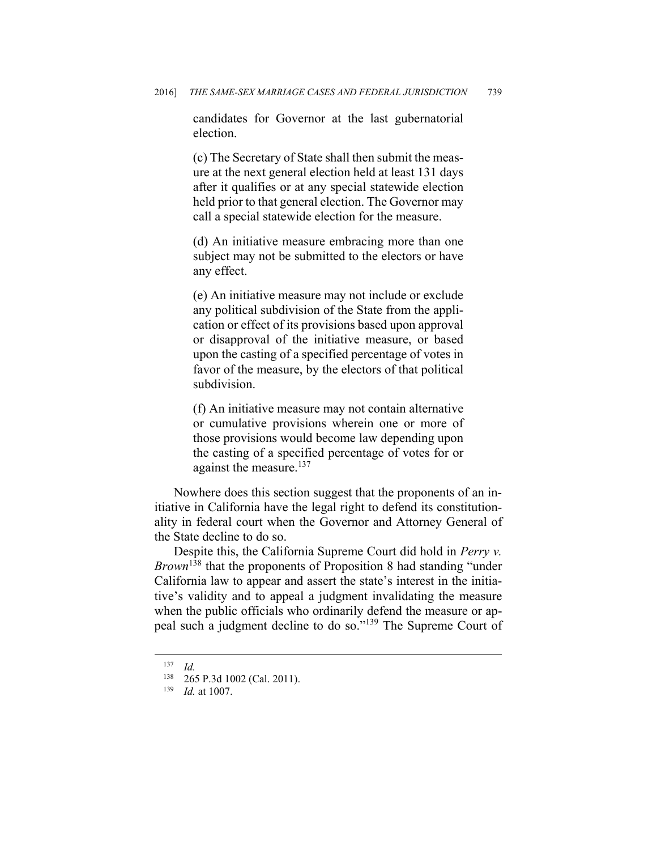candidates for Governor at the last gubernatorial election.

(c) The Secretary of State shall then submit the measure at the next general election held at least 131 days after it qualifies or at any special statewide election held prior to that general election. The Governor may call a special statewide election for the measure.

(d) An initiative measure embracing more than one subject may not be submitted to the electors or have any effect.

(e) An initiative measure may not include or exclude any political subdivision of the State from the application or effect of its provisions based upon approval or disapproval of the initiative measure, or based upon the casting of a specified percentage of votes in favor of the measure, by the electors of that political subdivision.

(f) An initiative measure may not contain alternative or cumulative provisions wherein one or more of those provisions would become law depending upon the casting of a specified percentage of votes for or against the measure.<sup>137</sup>

Nowhere does this section suggest that the proponents of an initiative in California have the legal right to defend its constitutionality in federal court when the Governor and Attorney General of the State decline to do so.

Despite this, the California Supreme Court did hold in *Perry v. Brown*<sup>138</sup> that the proponents of Proposition 8 had standing "under California law to appear and assert the state's interest in the initiative's validity and to appeal a judgment invalidating the measure when the public officials who ordinarily defend the measure or appeal such a judgment decline to do so."139 The Supreme Court of

 $\frac{137}{138}$  *Id.* 

<sup>138 265</sup> P.3d 1002 (Cal. 2011). 139 *Id.* at 1007.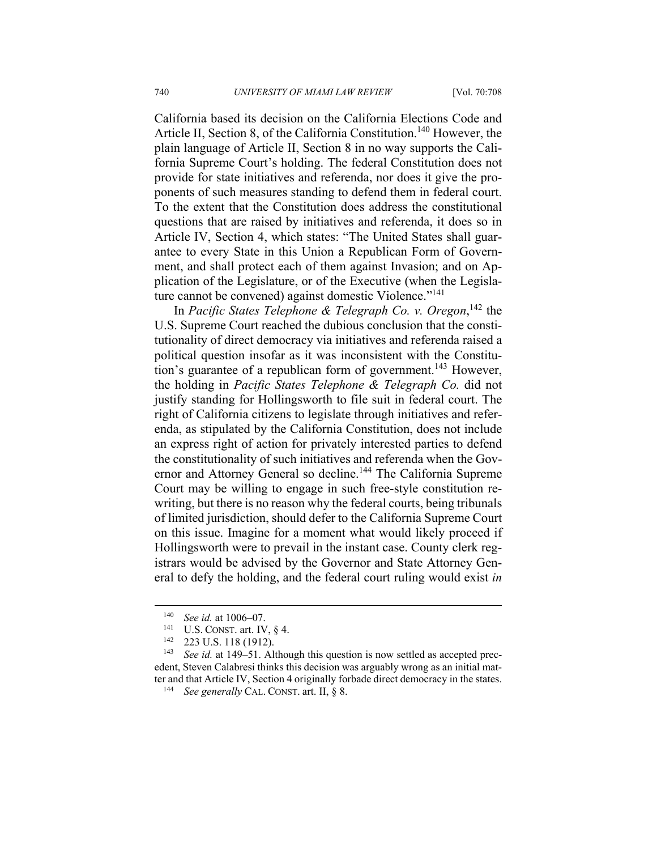California based its decision on the California Elections Code and Article II, Section 8, of the California Constitution.<sup>140</sup> However, the plain language of Article II, Section 8 in no way supports the California Supreme Court's holding. The federal Constitution does not provide for state initiatives and referenda, nor does it give the proponents of such measures standing to defend them in federal court. To the extent that the Constitution does address the constitutional questions that are raised by initiatives and referenda, it does so in Article IV, Section 4, which states: "The United States shall guarantee to every State in this Union a Republican Form of Government, and shall protect each of them against Invasion; and on Application of the Legislature, or of the Executive (when the Legislature cannot be convened) against domestic Violence."<sup>141</sup>

In *Pacific States Telephone & Telegraph Co. v. Oregon*, 142 the U.S. Supreme Court reached the dubious conclusion that the constitutionality of direct democracy via initiatives and referenda raised a political question insofar as it was inconsistent with the Constitution's guarantee of a republican form of government.<sup>143</sup> However, the holding in *Pacific States Telephone & Telegraph Co.* did not justify standing for Hollingsworth to file suit in federal court. The right of California citizens to legislate through initiatives and referenda, as stipulated by the California Constitution, does not include an express right of action for privately interested parties to defend the constitutionality of such initiatives and referenda when the Governor and Attorney General so decline.<sup>144</sup> The California Supreme Court may be willing to engage in such free-style constitution rewriting, but there is no reason why the federal courts, being tribunals of limited jurisdiction, should defer to the California Supreme Court on this issue. Imagine for a moment what would likely proceed if Hollingsworth were to prevail in the instant case. County clerk registrars would be advised by the Governor and State Attorney General to defy the holding, and the federal court ruling would exist *in*

<sup>140</sup> *See id.* at 1006–07.<br>
<sup>141</sup> U.S. CONST. art. IV, § 4.<br>
<sup>142</sup> 223 U.S. 118 (1912).<br>
<sup>143</sup> *See id.* at 149–51. Although this question is now settled as accepted precedent, Steven Calabresi thinks this decision was arguably wrong as an initial matter and that Article IV, Section 4 originally forbade direct democracy in the states. 144 *See generally* CAL. CONST. art. II, § 8.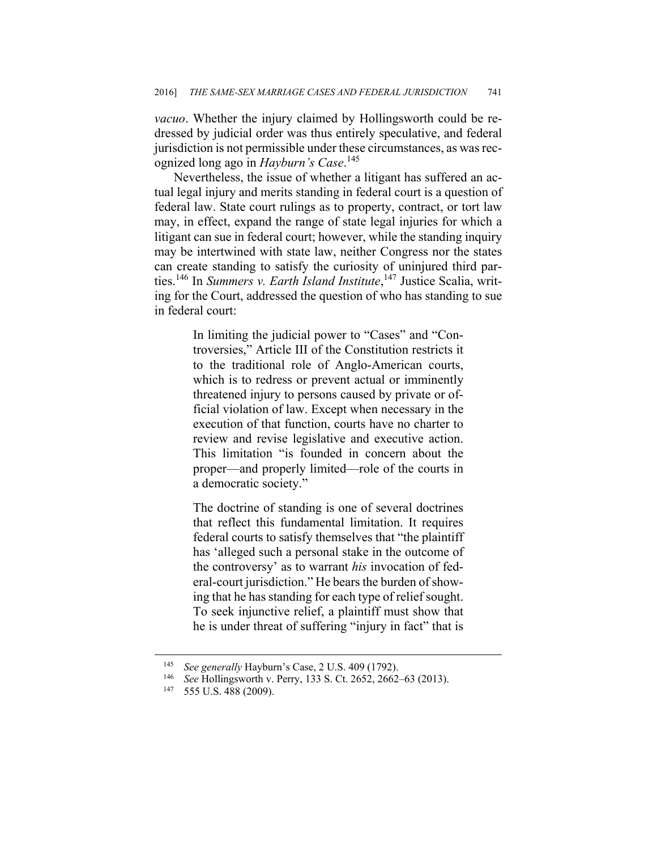*vacuo*. Whether the injury claimed by Hollingsworth could be redressed by judicial order was thus entirely speculative, and federal jurisdiction is not permissible under these circumstances, as was recognized long ago in *Hayburn's Case*. 145

Nevertheless, the issue of whether a litigant has suffered an actual legal injury and merits standing in federal court is a question of federal law. State court rulings as to property, contract, or tort law may, in effect, expand the range of state legal injuries for which a litigant can sue in federal court; however, while the standing inquiry may be intertwined with state law, neither Congress nor the states can create standing to satisfy the curiosity of uninjured third parties.146 In *Summers v. Earth Island Institute*, 147 Justice Scalia, writing for the Court, addressed the question of who has standing to sue in federal court:

> In limiting the judicial power to "Cases" and "Controversies," Article III of the Constitution restricts it to the traditional role of Anglo-American courts, which is to redress or prevent actual or imminently threatened injury to persons caused by private or official violation of law. Except when necessary in the execution of that function, courts have no charter to review and revise legislative and executive action. This limitation "is founded in concern about the proper—and properly limited—role of the courts in a democratic society."

> The doctrine of standing is one of several doctrines that reflect this fundamental limitation. It requires federal courts to satisfy themselves that "the plaintiff has 'alleged such a personal stake in the outcome of the controversy' as to warrant *his* invocation of federal-court jurisdiction." He bears the burden of showing that he has standing for each type of relief sought. To seek injunctive relief, a plaintiff must show that he is under threat of suffering "injury in fact" that is

<sup>145</sup> *See generally* Hayburn's Case, 2 U.S. 409 (1792). 146 *See* Hollingsworth v. Perry, 133 S. Ct. 2652, 2662–63 (2013). 147 555 U.S. 488 (2009).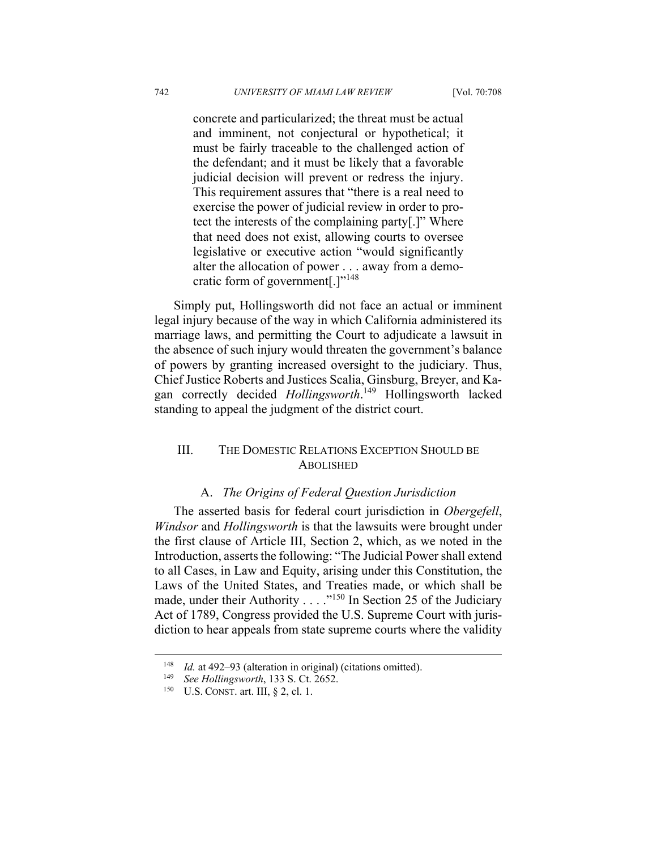concrete and particularized; the threat must be actual and imminent, not conjectural or hypothetical; it must be fairly traceable to the challenged action of the defendant; and it must be likely that a favorable judicial decision will prevent or redress the injury. This requirement assures that "there is a real need to exercise the power of judicial review in order to protect the interests of the complaining party[.]" Where that need does not exist, allowing courts to oversee legislative or executive action "would significantly alter the allocation of power . . . away from a democratic form of government[.]"<sup>148</sup>

Simply put, Hollingsworth did not face an actual or imminent legal injury because of the way in which California administered its marriage laws, and permitting the Court to adjudicate a lawsuit in the absence of such injury would threaten the government's balance of powers by granting increased oversight to the judiciary. Thus, Chief Justice Roberts and Justices Scalia, Ginsburg, Breyer, and Kagan correctly decided *Hollingsworth*. 149 Hollingsworth lacked standing to appeal the judgment of the district court.

## III. THE DOMESTIC RELATIONS EXCEPTION SHOULD BE **ABOLISHED**

#### A. *The Origins of Federal Question Jurisdiction*

The asserted basis for federal court jurisdiction in *Obergefell*, *Windsor* and *Hollingsworth* is that the lawsuits were brought under the first clause of Article III, Section 2, which, as we noted in the Introduction, asserts the following: "The Judicial Power shall extend to all Cases, in Law and Equity, arising under this Constitution, the Laws of the United States, and Treaties made, or which shall be made, under their Authority . . . . "<sup>150</sup> In Section 25 of the Judiciary Act of 1789, Congress provided the U.S. Supreme Court with jurisdiction to hear appeals from state supreme courts where the validity

<sup>148</sup> *Id.* at 492–93 (alteration in original) (citations omitted).<br>
<sup>149</sup> *See Hollingsworth*, 133 S. Ct. 2652.<br>
<sup>150</sup> U.S. CONST. art. III, § 2, cl. 1.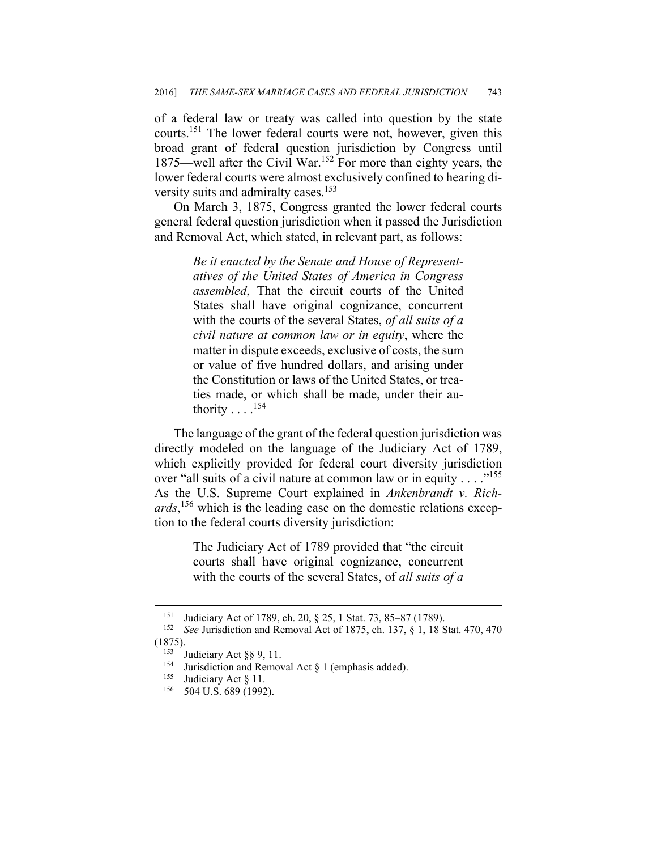of a federal law or treaty was called into question by the state courts.151 The lower federal courts were not, however, given this broad grant of federal question jurisdiction by Congress until 1875—well after the Civil War.152 For more than eighty years, the lower federal courts were almost exclusively confined to hearing diversity suits and admiralty cases.<sup>153</sup>

On March 3, 1875, Congress granted the lower federal courts general federal question jurisdiction when it passed the Jurisdiction and Removal Act, which stated, in relevant part, as follows:

> *Be it enacted by the Senate and House of Representatives of the United States of America in Congress assembled*, That the circuit courts of the United States shall have original cognizance, concurrent with the courts of the several States, *of all suits of a civil nature at common law or in equity*, where the matter in dispute exceeds, exclusive of costs, the sum or value of five hundred dollars, and arising under the Constitution or laws of the United States, or treaties made, or which shall be made, under their authority  $\ldots$ .<sup>154</sup>

The language of the grant of the federal question jurisdiction was directly modeled on the language of the Judiciary Act of 1789, which explicitly provided for federal court diversity jurisdiction over "all suits of a civil nature at common law or in equity . . . . "<sup>155</sup> As the U.S. Supreme Court explained in *Ankenbrandt v. Richards*, 156 which is the leading case on the domestic relations exception to the federal courts diversity jurisdiction:

> The Judiciary Act of 1789 provided that "the circuit courts shall have original cognizance, concurrent with the courts of the several States, of *all suits of a*

<sup>151</sup> Judiciary Act of 1789, ch. 20, § 25, 1 Stat. 73, 85–87 (1789). 152 *See* Jurisdiction and Removal Act of 1875, ch. 137, § 1, 18 Stat. 470, 470 (1875).<br><sup>153</sup> Judiciary Act §§ 9, 11.<br><sup>154</sup> Jurisdiction and Removal Act § 1 (emphasis added).<br><sup>155</sup> Judiciary Act § 11.<br><sup>156</sup> 504 U.S. 689 (1992).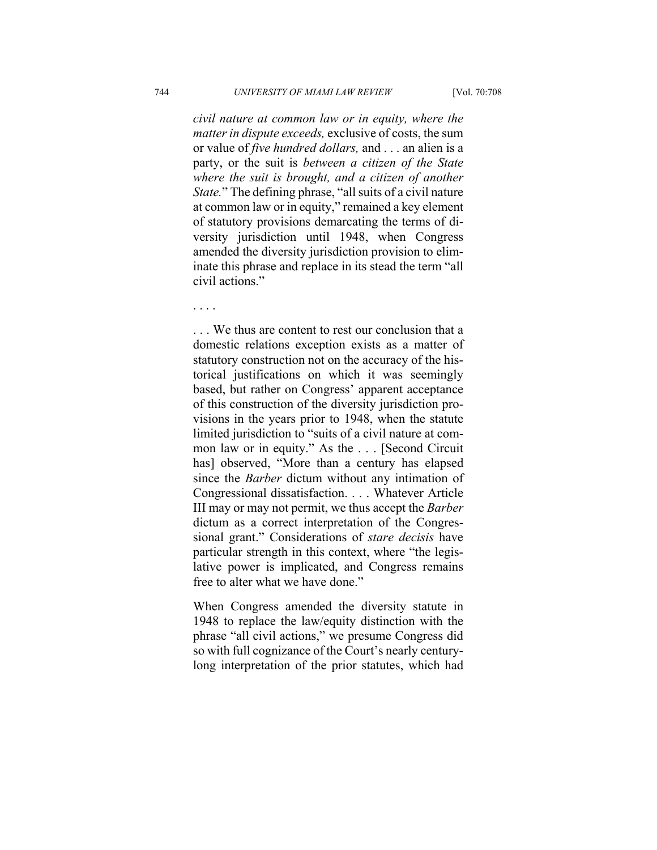*civil nature at common law or in equity, where the matter in dispute exceeds,* exclusive of costs, the sum or value of *five hundred dollars,* and . . . an alien is a party, or the suit is *between a citizen of the State where the suit is brought, and a citizen of another State.*" The defining phrase, "all suits of a civil nature at common law or in equity," remained a key element of statutory provisions demarcating the terms of diversity jurisdiction until 1948, when Congress amended the diversity jurisdiction provision to eliminate this phrase and replace in its stead the term "all civil actions."

. . . .

. . . We thus are content to rest our conclusion that a domestic relations exception exists as a matter of statutory construction not on the accuracy of the historical justifications on which it was seemingly based, but rather on Congress' apparent acceptance of this construction of the diversity jurisdiction provisions in the years prior to 1948, when the statute limited jurisdiction to "suits of a civil nature at common law or in equity." As the . . . [Second Circuit has] observed, "More than a century has elapsed since the *Barber* dictum without any intimation of Congressional dissatisfaction. . . . Whatever Article III may or may not permit, we thus accept the *Barber* dictum as a correct interpretation of the Congressional grant." Considerations of *stare decisis* have particular strength in this context, where "the legislative power is implicated, and Congress remains free to alter what we have done."

When Congress amended the diversity statute in 1948 to replace the law/equity distinction with the phrase "all civil actions," we presume Congress did so with full cognizance of the Court's nearly centurylong interpretation of the prior statutes, which had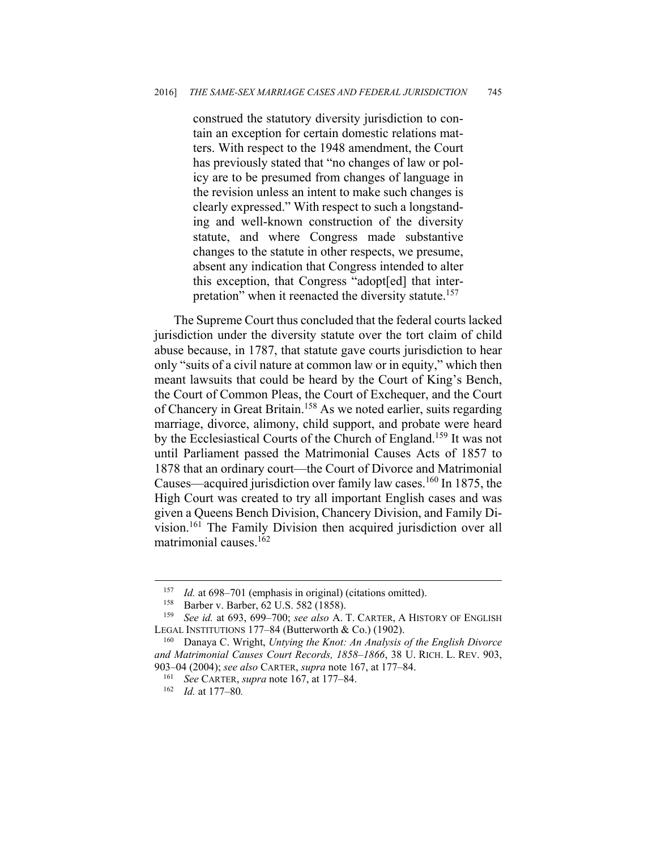construed the statutory diversity jurisdiction to contain an exception for certain domestic relations matters. With respect to the 1948 amendment, the Court has previously stated that "no changes of law or policy are to be presumed from changes of language in the revision unless an intent to make such changes is clearly expressed." With respect to such a longstanding and well-known construction of the diversity statute, and where Congress made substantive changes to the statute in other respects, we presume, absent any indication that Congress intended to alter this exception, that Congress "adopt[ed] that interpretation" when it reenacted the diversity statute.<sup>157</sup>

The Supreme Court thus concluded that the federal courts lacked jurisdiction under the diversity statute over the tort claim of child abuse because, in 1787, that statute gave courts jurisdiction to hear only "suits of a civil nature at common law or in equity," which then meant lawsuits that could be heard by the Court of King's Bench, the Court of Common Pleas, the Court of Exchequer, and the Court of Chancery in Great Britain.158 As we noted earlier, suits regarding marriage, divorce, alimony, child support, and probate were heard by the Ecclesiastical Courts of the Church of England.<sup>159</sup> It was not until Parliament passed the Matrimonial Causes Acts of 1857 to 1878 that an ordinary court—the Court of Divorce and Matrimonial Causes—acquired jurisdiction over family law cases.<sup>160</sup> In 1875, the High Court was created to try all important English cases and was given a Queens Bench Division, Chancery Division, and Family Division.161 The Family Division then acquired jurisdiction over all matrimonial causes.162

<sup>157</sup> *Id.* at 698–701 (emphasis in original) (citations omitted).<br>
<sup>158</sup> Barber v. Barber, 62 U.S. 582 (1858).<br>
<sup>159</sup> *See id.* at 693, 699–700; *see also* A. T. CARTER, A HISTORY OF ENGLISH LEGAL INSTITUTIONS 177–84 (Butterworth & Co.) (1902).<br><sup>160</sup> Danaya C. Wright, *Untying the Knot: An Analysis of the English Divorce* 

*and Matrimonial Causes Court Records, 1858–1866*, 38 U. RICH. L. REV. 903, 903–04 (2004); *see also* CARTER, *supra* note 167, at 177–84. 161 *See* CARTER, *supra* note 167, at 177–84. 162 *Id.* at 177–80*.*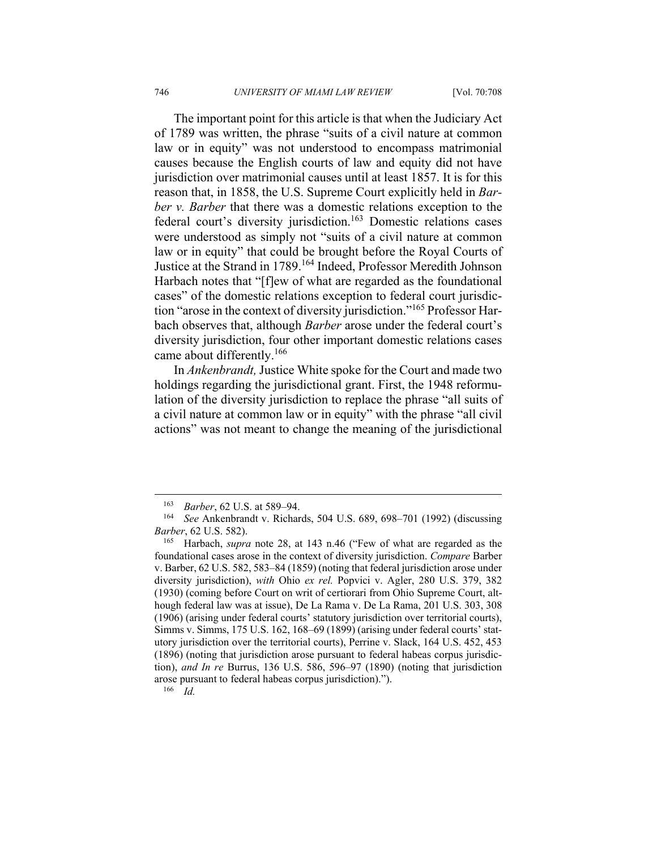The important point for this article is that when the Judiciary Act of 1789 was written, the phrase "suits of a civil nature at common law or in equity" was not understood to encompass matrimonial causes because the English courts of law and equity did not have jurisdiction over matrimonial causes until at least 1857. It is for this reason that, in 1858, the U.S. Supreme Court explicitly held in *Barber v. Barber* that there was a domestic relations exception to the federal court's diversity jurisdiction.<sup>163</sup> Domestic relations cases were understood as simply not "suits of a civil nature at common law or in equity" that could be brought before the Royal Courts of Justice at the Strand in 1789.164 Indeed, Professor Meredith Johnson Harbach notes that "[f]ew of what are regarded as the foundational cases" of the domestic relations exception to federal court jurisdiction "arose in the context of diversity jurisdiction."165 Professor Harbach observes that, although *Barber* arose under the federal court's diversity jurisdiction, four other important domestic relations cases came about differently.<sup>166</sup>

In *Ankenbrandt,* Justice White spoke for the Court and made two holdings regarding the jurisdictional grant. First, the 1948 reformulation of the diversity jurisdiction to replace the phrase "all suits of a civil nature at common law or in equity" with the phrase "all civil actions" was not meant to change the meaning of the jurisdictional

<sup>163</sup> *Barber*, 62 U.S. at 589–94. 164 *See* Ankenbrandt v. Richards, 504 U.S. 689, 698–701 (1992) (discussing *Barber*, 62 U.S. 582). 165 Harbach, *supra* note 28, at 143 n.46 ("Few of what are regarded as the

foundational cases arose in the context of diversity jurisdiction. *Compare* Barber v. Barber, 62 U.S. 582, 583–84 (1859) (noting that federal jurisdiction arose under diversity jurisdiction), *with* Ohio *ex rel.* Popvici v. Agler, 280 U.S. 379, 382 (1930) (coming before Court on writ of certiorari from Ohio Supreme Court, although federal law was at issue), De La Rama v. De La Rama, 201 U.S. 303, 308 (1906) (arising under federal courts' statutory jurisdiction over territorial courts), Simms v. Simms, 175 U.S. 162, 168–69 (1899) (arising under federal courts' statutory jurisdiction over the territorial courts), Perrine v. Slack, 164 U.S. 452, 453 (1896) (noting that jurisdiction arose pursuant to federal habeas corpus jurisdiction), *and In re* Burrus, 136 U.S. 586, 596–97 (1890) (noting that jurisdiction arose pursuant to federal habeas corpus jurisdiction)."). 166 *Id.*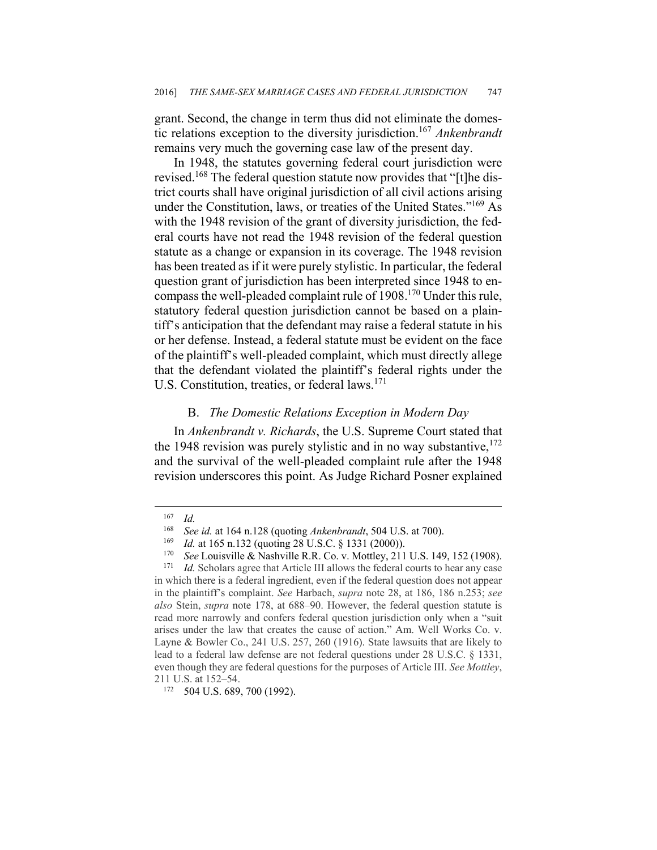grant. Second, the change in term thus did not eliminate the domestic relations exception to the diversity jurisdiction.167 *Ankenbrandt*  remains very much the governing case law of the present day.

In 1948, the statutes governing federal court jurisdiction were revised.168 The federal question statute now provides that "[t]he district courts shall have original jurisdiction of all civil actions arising under the Constitution, laws, or treaties of the United States."<sup>169</sup> As with the 1948 revision of the grant of diversity jurisdiction, the federal courts have not read the 1948 revision of the federal question statute as a change or expansion in its coverage. The 1948 revision has been treated as if it were purely stylistic. In particular, the federal question grant of jurisdiction has been interpreted since 1948 to encompass the well-pleaded complaint rule of 1908.170 Under this rule, statutory federal question jurisdiction cannot be based on a plaintiff's anticipation that the defendant may raise a federal statute in his or her defense. Instead, a federal statute must be evident on the face of the plaintiff's well-pleaded complaint, which must directly allege that the defendant violated the plaintiff's federal rights under the U.S. Constitution, treaties, or federal laws.<sup>171</sup>

## B. *The Domestic Relations Exception in Modern Day*

In *Ankenbrandt v. Richards*, the U.S. Supreme Court stated that the 1948 revision was purely stylistic and in no way substantive,  $^{172}$ and the survival of the well-pleaded complaint rule after the 1948 revision underscores this point. As Judge Richard Posner explained

 $\frac{167}{168}$  *Id.* 

<sup>&</sup>lt;sup>168</sup> *See id.* at 164 n.128 (quoting *Ankenbrandt*, 504 U.S. at 700).<br>
<sup>169</sup> *Id.* at 165 n.132 (quoting 28 U.S.C. § 1331 (2000)).<br>
<sup>170</sup> *See* Louisville & Nashville R.R. Co. v. Mottley, 211 U.S. 149, 152 (1908).<br>
<sup>171</sup>

in which there is a federal ingredient, even if the federal question does not appear in the plaintiff's complaint. *See* Harbach, *supra* note 28, at 186, 186 n.253; *see also* Stein, *supra* note 178, at 688–90. However, the federal question statute is read more narrowly and confers federal question jurisdiction only when a "suit arises under the law that creates the cause of action." Am. Well Works Co. v. Layne & Bowler Co., 241 U.S. 257, 260 (1916). State lawsuits that are likely to lead to a federal law defense are not federal questions under 28 U.S.C. § 1331, even though they are federal questions for the purposes of Article III. *See Mottley*, 211 U.S. at 152–54.

<sup>172 504</sup> U.S. 689, 700 (1992).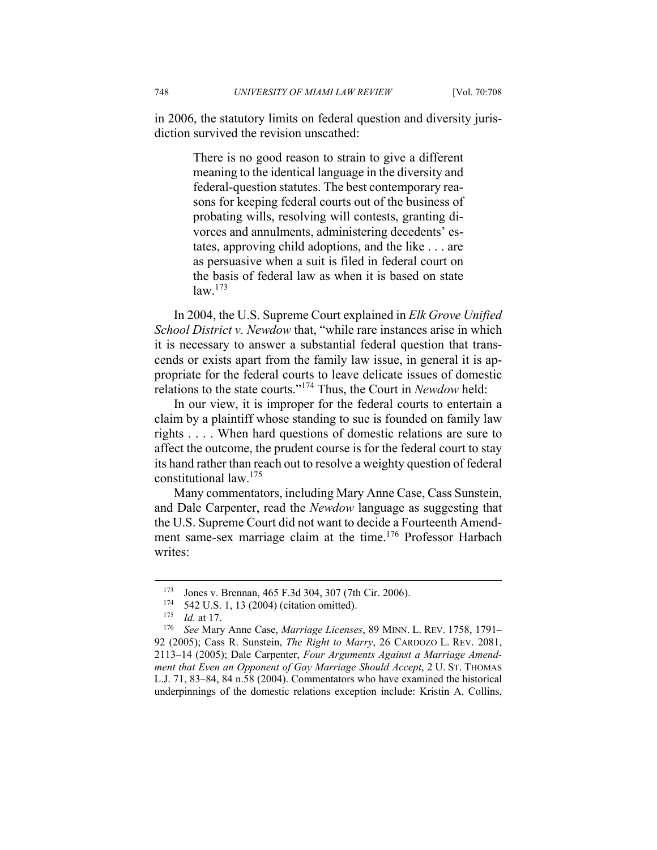in 2006, the statutory limits on federal question and diversity jurisdiction survived the revision unscathed:

> There is no good reason to strain to give a different meaning to the identical language in the diversity and federal-question statutes. The best contemporary reasons for keeping federal courts out of the business of probating wills, resolving will contests, granting divorces and annulments, administering decedents' estates, approving child adoptions, and the like . . . are as persuasive when a suit is filed in federal court on the basis of federal law as when it is based on state  $law<sup>173</sup>$

In 2004, the U.S. Supreme Court explained in *Elk Grove Unified School District v. Newdow* that, "while rare instances arise in which it is necessary to answer a substantial federal question that transcends or exists apart from the family law issue, in general it is appropriate for the federal courts to leave delicate issues of domestic relations to the state courts."174 Thus, the Court in *Newdow* held:

In our view, it is improper for the federal courts to entertain a claim by a plaintiff whose standing to sue is founded on family law rights . . . . When hard questions of domestic relations are sure to affect the outcome, the prudent course is for the federal court to stay its hand rather than reach out to resolve a weighty question of federal constitutional law.175

Many commentators, including Mary Anne Case, Cass Sunstein, and Dale Carpenter, read the *Newdow* language as suggesting that the U.S. Supreme Court did not want to decide a Fourteenth Amendment same-sex marriage claim at the time.<sup>176</sup> Professor Harbach writes:

<sup>173</sup> Jones v. Brennan, 465 F.3d 304, 307 (7th Cir. 2006).<br>
174 542 U.S. 1, 13 (2004) (citation omitted).<br>
175 *Id.* at 17.<br>
176 See Mary Anne Case, *Marriage Licenses*, 89 MINN. L. REV. 1758, 1791– 92 (2005); Cass R. Sunstein, *The Right to Marry*, 26 CARDOZO L. REV. 2081, 2113–14 (2005); Dale Carpenter, *Four Arguments Against a Marriage Amendment that Even an Opponent of Gay Marriage Should Accept*, 2 U. ST. THOMAS L.J. 71, 83–84, 84 n.58 (2004). Commentators who have examined the historical underpinnings of the domestic relations exception include: Kristin A. Collins,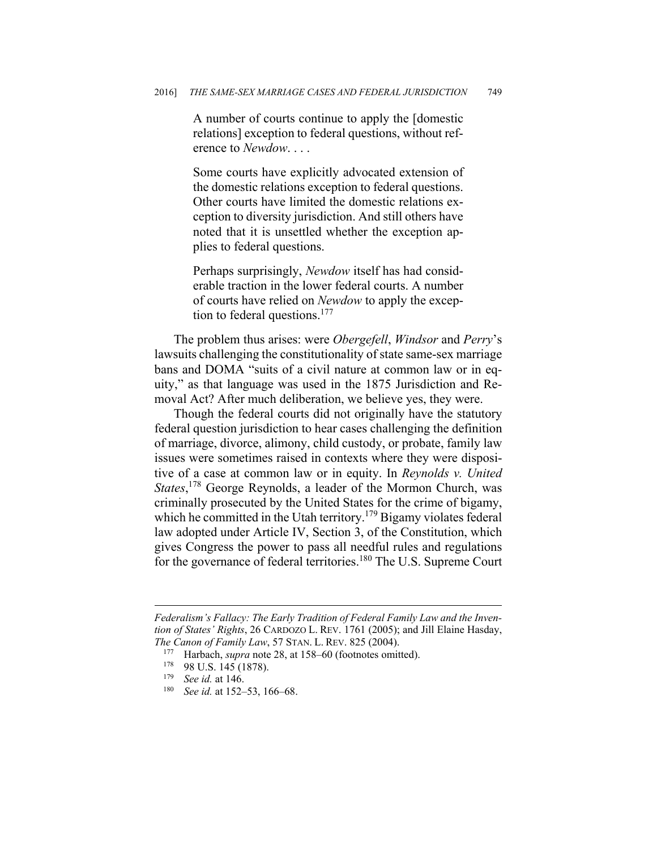A number of courts continue to apply the [domestic relations] exception to federal questions, without reference to *Newdow*. . . .

Some courts have explicitly advocated extension of the domestic relations exception to federal questions. Other courts have limited the domestic relations exception to diversity jurisdiction. And still others have noted that it is unsettled whether the exception applies to federal questions.

Perhaps surprisingly, *Newdow* itself has had considerable traction in the lower federal courts. A number of courts have relied on *Newdow* to apply the exception to federal questions.<sup>177</sup>

The problem thus arises: were *Obergefell*, *Windsor* and *Perry*'s lawsuits challenging the constitutionality of state same-sex marriage bans and DOMA "suits of a civil nature at common law or in equity," as that language was used in the 1875 Jurisdiction and Removal Act? After much deliberation, we believe yes, they were.

Though the federal courts did not originally have the statutory federal question jurisdiction to hear cases challenging the definition of marriage, divorce, alimony, child custody, or probate, family law issues were sometimes raised in contexts where they were dispositive of a case at common law or in equity. In *Reynolds v. United States*, 178 George Reynolds, a leader of the Mormon Church, was criminally prosecuted by the United States for the crime of bigamy, which he committed in the Utah territory.<sup>179</sup> Bigamy violates federal law adopted under Article IV, Section 3, of the Constitution, which gives Congress the power to pass all needful rules and regulations for the governance of federal territories.<sup>180</sup> The U.S. Supreme Court

*Federalism's Fallacy: The Early Tradition of Federal Family Law and the Invention of States' Rights*, 26 CARDOZO L. REV. 1761 (2005); and Jill Elaine Hasday, *The Canon of Family Law*, 57 STAN. L. REV. 825 (2004).<br><sup>177</sup> Harbach, *supra* note 28, at 158–60 (footnotes omitted).<br><sup>178</sup> 98 U.S. 145 (1878).<br><sup>179</sup> *See id.* at 146.<br><sup>180</sup> *See id.* at 152–53, 166–68.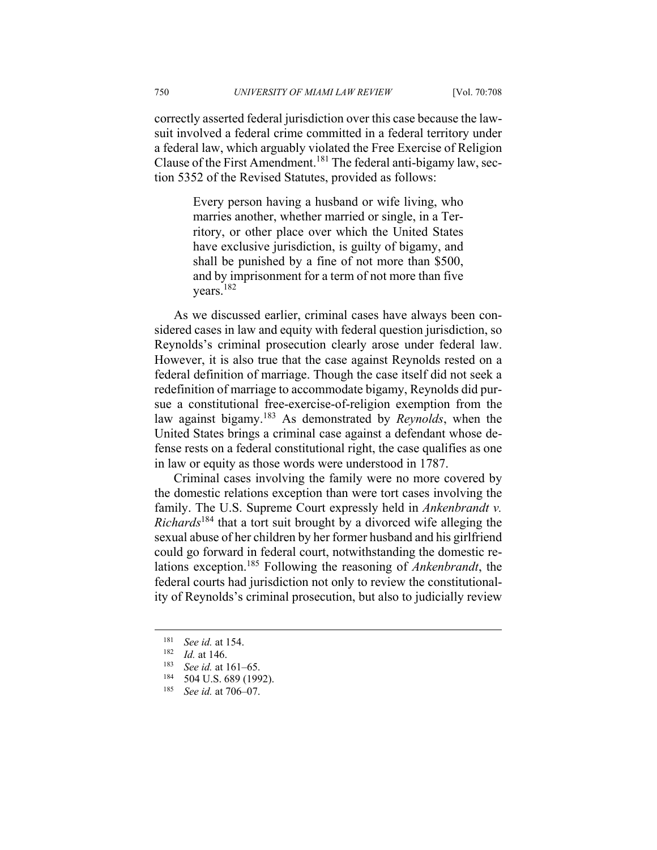correctly asserted federal jurisdiction over this case because the lawsuit involved a federal crime committed in a federal territory under a federal law, which arguably violated the Free Exercise of Religion Clause of the First Amendment.181 The federal anti-bigamy law, section 5352 of the Revised Statutes, provided as follows:

> Every person having a husband or wife living, who marries another, whether married or single, in a Territory, or other place over which the United States have exclusive jurisdiction, is guilty of bigamy, and shall be punished by a fine of not more than \$500, and by imprisonment for a term of not more than five years.182

As we discussed earlier, criminal cases have always been considered cases in law and equity with federal question jurisdiction, so Reynolds's criminal prosecution clearly arose under federal law. However, it is also true that the case against Reynolds rested on a federal definition of marriage. Though the case itself did not seek a redefinition of marriage to accommodate bigamy, Reynolds did pursue a constitutional free-exercise-of-religion exemption from the law against bigamy.183 As demonstrated by *Reynolds*, when the United States brings a criminal case against a defendant whose defense rests on a federal constitutional right, the case qualifies as one in law or equity as those words were understood in 1787.

Criminal cases involving the family were no more covered by the domestic relations exception than were tort cases involving the family. The U.S. Supreme Court expressly held in *Ankenbrandt v. Richards*184 that a tort suit brought by a divorced wife alleging the sexual abuse of her children by her former husband and his girlfriend could go forward in federal court, notwithstanding the domestic relations exception.185 Following the reasoning of *Ankenbrandt*, the federal courts had jurisdiction not only to review the constitutionality of Reynolds's criminal prosecution, but also to judicially review

<u>.</u>

<sup>181</sup> *See id.* at 154.<br>
182 *Id.* at 146.<br>
183 *See id.* at 161–65.<br>
184 504 U.S. 689 (1992).<br>
185 *See id.* at 706–07.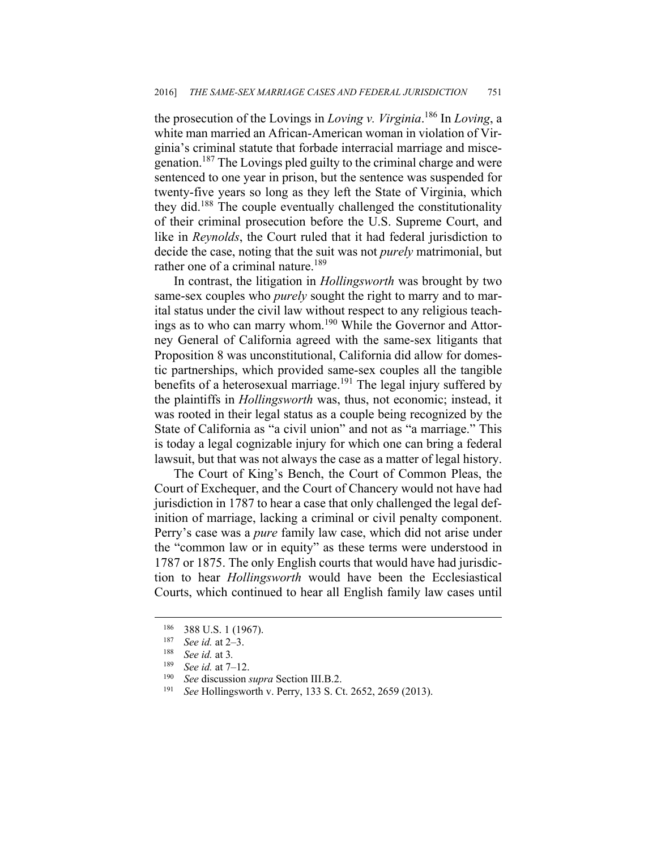the prosecution of the Lovings in *Loving v. Virginia*. 186 In *Loving*, a white man married an African-American woman in violation of Virginia's criminal statute that forbade interracial marriage and miscegenation.187 The Lovings pled guilty to the criminal charge and were sentenced to one year in prison, but the sentence was suspended for twenty-five years so long as they left the State of Virginia, which they did.188 The couple eventually challenged the constitutionality of their criminal prosecution before the U.S. Supreme Court, and like in *Reynolds*, the Court ruled that it had federal jurisdiction to decide the case, noting that the suit was not *purely* matrimonial, but rather one of a criminal nature.<sup>189</sup>

In contrast, the litigation in *Hollingsworth* was brought by two same-sex couples who *purely* sought the right to marry and to marital status under the civil law without respect to any religious teachings as to who can marry whom.190 While the Governor and Attorney General of California agreed with the same-sex litigants that Proposition 8 was unconstitutional, California did allow for domestic partnerships, which provided same-sex couples all the tangible benefits of a heterosexual marriage.<sup>191</sup> The legal injury suffered by the plaintiffs in *Hollingsworth* was, thus, not economic; instead, it was rooted in their legal status as a couple being recognized by the State of California as "a civil union" and not as "a marriage." This is today a legal cognizable injury for which one can bring a federal lawsuit, but that was not always the case as a matter of legal history.

The Court of King's Bench, the Court of Common Pleas, the Court of Exchequer, and the Court of Chancery would not have had jurisdiction in 1787 to hear a case that only challenged the legal definition of marriage, lacking a criminal or civil penalty component. Perry's case was a *pure* family law case, which did not arise under the "common law or in equity" as these terms were understood in 1787 or 1875. The only English courts that would have had jurisdiction to hear *Hollingsworth* would have been the Ecclesiastical Courts, which continued to hear all English family law cases until

<sup>186 388</sup> U.S. 1 (1967).<br>
<sup>187</sup> *See id.* at 2–3.<br>
<sup>188</sup> *See id.* at 3.<br>
<sup>189</sup> *Seaid at* 7. 12.

<sup>189</sup> *See id.* at 7–12. 190 *See* discussion *supra* Section III.B.2. 191 *See* Hollingsworth v. Perry, 133 S. Ct. 2652, 2659 (2013).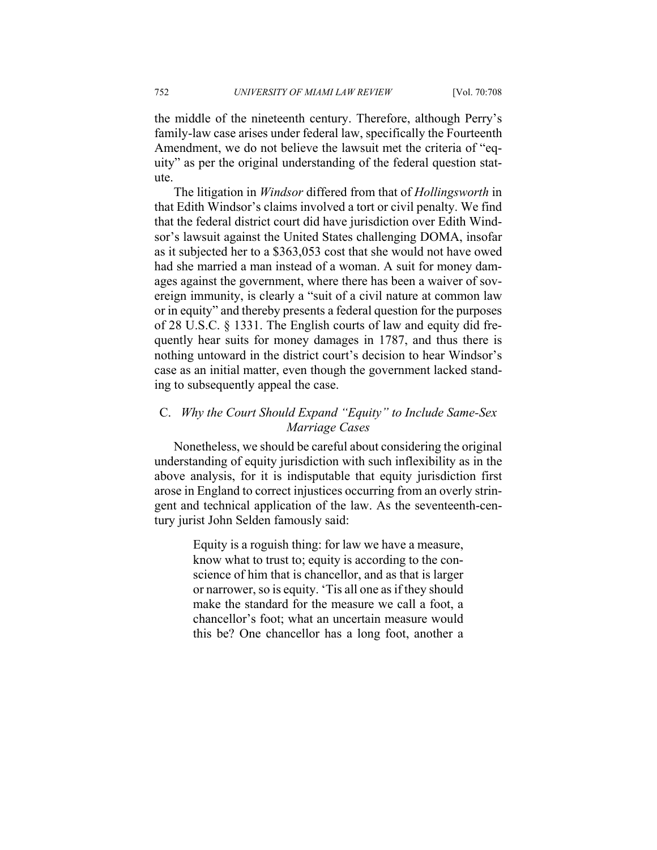the middle of the nineteenth century. Therefore, although Perry's family-law case arises under federal law, specifically the Fourteenth Amendment, we do not believe the lawsuit met the criteria of "equity" as per the original understanding of the federal question statute.

The litigation in *Windsor* differed from that of *Hollingsworth* in that Edith Windsor's claims involved a tort or civil penalty. We find that the federal district court did have jurisdiction over Edith Windsor's lawsuit against the United States challenging DOMA, insofar as it subjected her to a \$363,053 cost that she would not have owed had she married a man instead of a woman. A suit for money damages against the government, where there has been a waiver of sovereign immunity, is clearly a "suit of a civil nature at common law or in equity" and thereby presents a federal question for the purposes of 28 U.S.C. § 1331. The English courts of law and equity did frequently hear suits for money damages in 1787, and thus there is nothing untoward in the district court's decision to hear Windsor's case as an initial matter, even though the government lacked standing to subsequently appeal the case.

## C. *Why the Court Should Expand "Equity" to Include Same-Sex Marriage Cases*

Nonetheless, we should be careful about considering the original understanding of equity jurisdiction with such inflexibility as in the above analysis, for it is indisputable that equity jurisdiction first arose in England to correct injustices occurring from an overly stringent and technical application of the law. As the seventeenth-century jurist John Selden famously said:

> Equity is a roguish thing: for law we have a measure, know what to trust to; equity is according to the conscience of him that is chancellor, and as that is larger or narrower, so is equity. 'Tis all one as if they should make the standard for the measure we call a foot, a chancellor's foot; what an uncertain measure would this be? One chancellor has a long foot, another a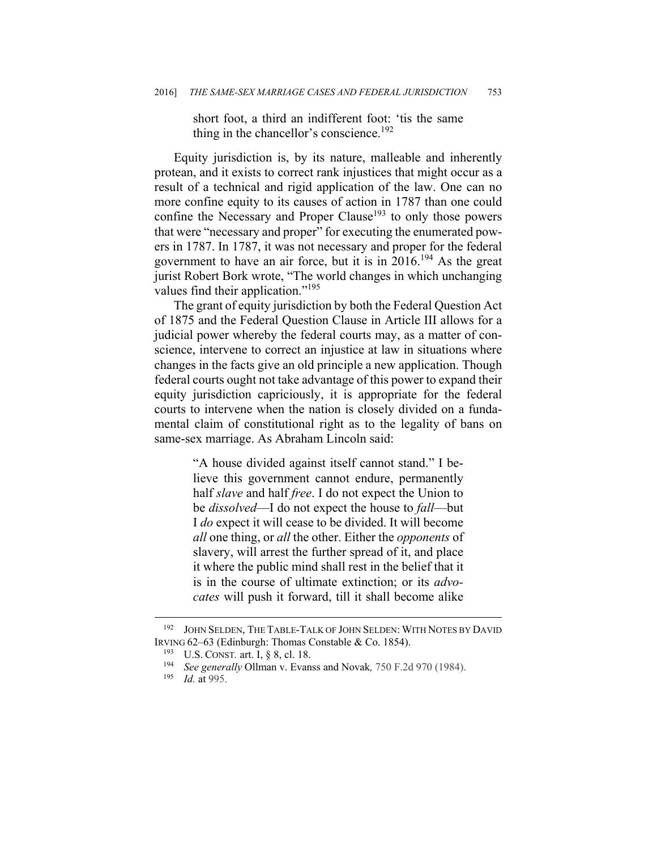short foot, a third an indifferent foot: 'tis the same thing in the chancellor's conscience.<sup>192</sup>

Equity jurisdiction is, by its nature, malleable and inherently protean, and it exists to correct rank injustices that might occur as a result of a technical and rigid application of the law. One can no more confine equity to its causes of action in 1787 than one could confine the Necessary and Proper Clause<sup>193</sup> to only those powers that were "necessary and proper" for executing the enumerated powers in 1787. In 1787, it was not necessary and proper for the federal government to have an air force, but it is in  $2016$ <sup>194</sup> As the great jurist Robert Bork wrote, "The world changes in which unchanging values find their application."195

The grant of equity jurisdiction by both the Federal Question Act of 1875 and the Federal Question Clause in Article III allows for a judicial power whereby the federal courts may, as a matter of conscience, intervene to correct an injustice at law in situations where changes in the facts give an old principle a new application. Though federal courts ought not take advantage of this power to expand their equity jurisdiction capriciously, it is appropriate for the federal courts to intervene when the nation is closely divided on a fundamental claim of constitutional right as to the legality of bans on same-sex marriage. As Abraham Lincoln said:

> "A house divided against itself cannot stand." I believe this government cannot endure, permanently half *slave* and half *free*. I do not expect the Union to be *dissolved*—I do not expect the house to *fall*—but I *do* expect it will cease to be divided. It will become *all* one thing, or *all* the other. Either the *opponents* of slavery, will arrest the further spread of it, and place it where the public mind shall rest in the belief that it is in the course of ultimate extinction; or its *advocates* will push it forward, till it shall become alike

1

<sup>&</sup>lt;sup>192</sup> JOHN SELDEN, THE TABLE-TALK OF JOHN SELDEN: WITH NOTES BY DAVID IRVING 62–63 (Edinburgh: Thomas Constable & Co. 1854).

<sup>193</sup> U.S. CONST*.* art. I, § 8, cl. 18. 194 *See generally* Ollman v. Evanss and Novak*,* 750 F.2d 970 (1984).

*Id.* at 995.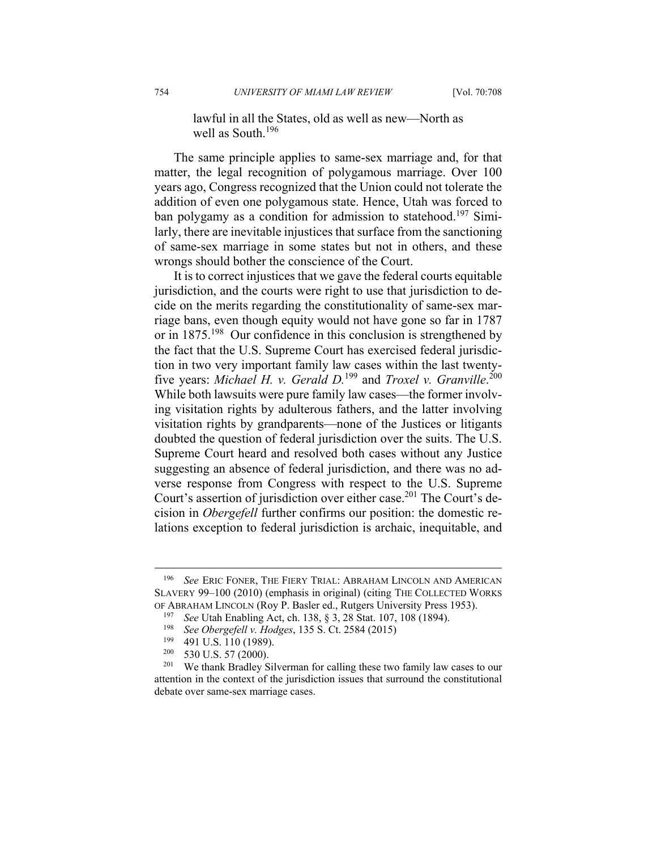lawful in all the States, old as well as new—North as well as South.196

The same principle applies to same-sex marriage and, for that matter, the legal recognition of polygamous marriage. Over 100 years ago, Congress recognized that the Union could not tolerate the addition of even one polygamous state. Hence, Utah was forced to ban polygamy as a condition for admission to statehood.<sup>197</sup> Similarly, there are inevitable injustices that surface from the sanctioning of same-sex marriage in some states but not in others, and these wrongs should bother the conscience of the Court.

It is to correct injustices that we gave the federal courts equitable jurisdiction, and the courts were right to use that jurisdiction to decide on the merits regarding the constitutionality of same-sex marriage bans, even though equity would not have gone so far in 1787 or in 1875.198 Our confidence in this conclusion is strengthened by the fact that the U.S. Supreme Court has exercised federal jurisdiction in two very important family law cases within the last twentyfive years: *Michael H. v. Gerald D.*<sup>199</sup> and *Troxel v. Granville*. 200 While both lawsuits were pure family law cases—the former involving visitation rights by adulterous fathers, and the latter involving visitation rights by grandparents—none of the Justices or litigants doubted the question of federal jurisdiction over the suits. The U.S. Supreme Court heard and resolved both cases without any Justice suggesting an absence of federal jurisdiction, and there was no adverse response from Congress with respect to the U.S. Supreme Court's assertion of jurisdiction over either case.<sup>201</sup> The Court's decision in *Obergefell* further confirms our position: the domestic relations exception to federal jurisdiction is archaic, inequitable, and

1

<sup>196</sup> *See* ERIC FONER, THE FIERY TRIAL: ABRAHAM LINCOLN AND AMERICAN SLAVERY 99–100 (2010) (emphasis in original) (citing THE COLLECTED WORKS OF ABRAHAM LINCOLN (Roy P. Basler ed., Rutgers University Press 1953).

<sup>&</sup>lt;sup>197</sup> See Utah Enabling Act, ch. 138, § 3, 28 Stat. 107, 108 (1894).<br><sup>198</sup> See Obergefell v. Hodges, 135 S. Ct. 2584 (2015)<br><sup>199</sup> 491 U.S. 110 (1989).<br><sup>200</sup> 530 U.S. 57 (2000).<br><sup>201</sup> We thank Bradley Silverman for calling attention in the context of the jurisdiction issues that surround the constitutional debate over same-sex marriage cases.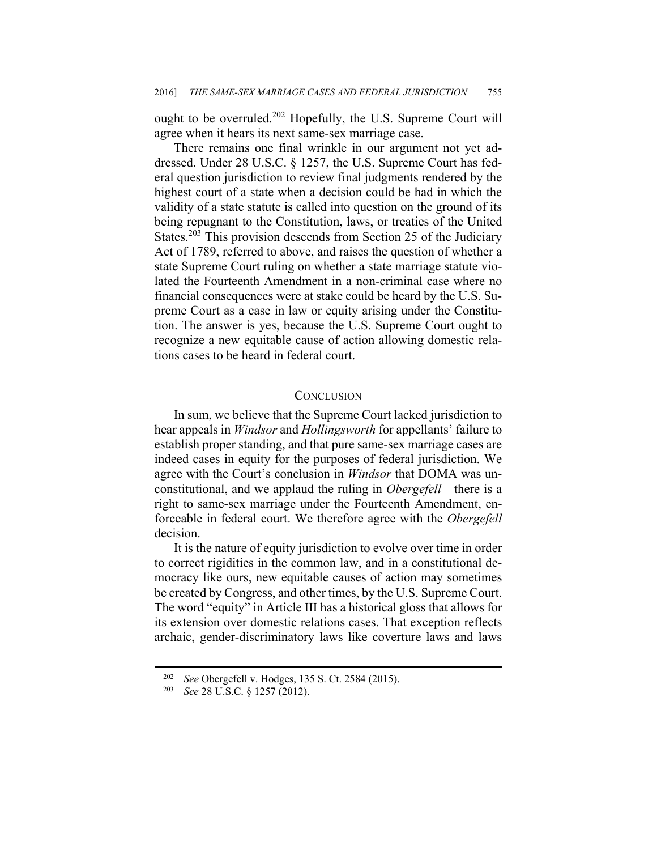ought to be overruled.202 Hopefully, the U.S. Supreme Court will agree when it hears its next same-sex marriage case.

There remains one final wrinkle in our argument not yet addressed. Under 28 U.S.C. § 1257, the U.S. Supreme Court has federal question jurisdiction to review final judgments rendered by the highest court of a state when a decision could be had in which the validity of a state statute is called into question on the ground of its being repugnant to the Constitution, laws, or treaties of the United States.<sup>203</sup> This provision descends from Section 25 of the Judiciary Act of 1789, referred to above, and raises the question of whether a state Supreme Court ruling on whether a state marriage statute violated the Fourteenth Amendment in a non-criminal case where no financial consequences were at stake could be heard by the U.S. Supreme Court as a case in law or equity arising under the Constitution. The answer is yes, because the U.S. Supreme Court ought to recognize a new equitable cause of action allowing domestic relations cases to be heard in federal court.

#### **CONCLUSION**

In sum, we believe that the Supreme Court lacked jurisdiction to hear appeals in *Windsor* and *Hollingsworth* for appellants' failure to establish proper standing, and that pure same-sex marriage cases are indeed cases in equity for the purposes of federal jurisdiction. We agree with the Court's conclusion in *Windsor* that DOMA was unconstitutional, and we applaud the ruling in *Obergefell*—there is a right to same-sex marriage under the Fourteenth Amendment, enforceable in federal court. We therefore agree with the *Obergefell*  decision.

It is the nature of equity jurisdiction to evolve over time in order to correct rigidities in the common law, and in a constitutional democracy like ours, new equitable causes of action may sometimes be created by Congress, and other times, by the U.S. Supreme Court. The word "equity" in Article III has a historical gloss that allows for its extension over domestic relations cases. That exception reflects archaic, gender-discriminatory laws like coverture laws and laws

<sup>202</sup> *See* Obergefell v. Hodges, 135 S. Ct. 2584 (2015). 203 *See* 28 U.S.C. § 1257 (2012).